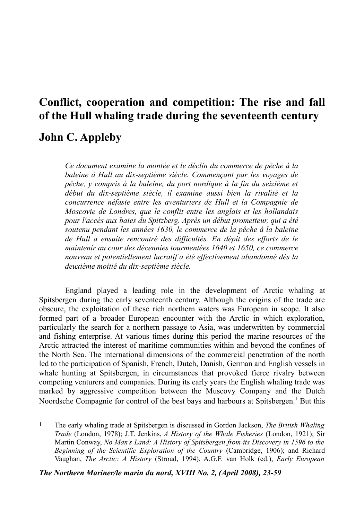# **Conflict, cooperation and competition: The rise and fall of the Hull whaling trade during the seventeenth century**

# **John C. Appleby**

*Ce document examine la montée et le déclin du commerce de pêche à la baleine à Hull au dix-septième siècle. Commençant par les voyages de pêche, y compris à la baleine, du port nordique à la fin du seizième et début du dix-septième siècle, il examine aussi bien la rivalité et la concurrence néfaste entre les aventuriers de Hull et la Compagnie de Moscovie de Londres, que le conflit entre les anglais et les hollandais pour l'accès aux baies du Spitzberg. Après un début prometteur, qui a été soutenu pendant les années 1630, le commerce de la pêche à la baleine de Hull a ensuite rencontré des difficultés. En dépit des efforts de le maintenir au cour des décennies tourmentées 1640 et 1650, ce commerce nouveau et potentiellement lucratif a été effectivement abandonné dès la deuxième moitié du dix-septième siècle.*

England played a leading role in the development of Arctic whaling at Spitsbergen during the early seventeenth century. Although the origins of the trade are obscure, the exploitation of these rich northern waters was European in scope. It also formed part of a broader European encounter with the Arctic in which exploration, particularly the search for a northern passage to Asia, was underwritten by commercial and fishing enterprise. At various times during this period the marine resources of the Arctic attracted the interest of maritime communities within and beyond the confines of the North Sea. The international dimensions of the commercial penetration of the north led to the participation of Spanish, French, Dutch, Danish, German and English vessels in whale hunting at Spitsbergen, in circumstances that provoked fierce rivalry between competing venturers and companies. During its early years the English whaling trade was marked by aggressive competition between the Muscovy Company and the Dutch Noordsche Compagnie for control of the best bays and harbours at Spitsbergen.<sup>[1](#page-0-0)</sup> But this

*The Northern Mariner/le marin du nord, XVIII No. 2, (April 2008), 23-59*

<span id="page-0-0"></span><sup>1</sup> The early whaling trade at Spitsbergen is discussed in Gordon Jackson, *The British Whaling Trade* (London, 1978); J.T. Jenkins, *A History of the Whale Fisheries* (London, 1921); Sir Martin Conway, *No Man's Land: A History of Spitsbergen from its Discovery in 1596 to the Beginning of the Scientific Exploration of the Country* (Cambridge, 1906); and Richard Vaughan, *The Arctic: A History* (Stroud, 1994). A.G.F. van Holk (ed.), *Early European*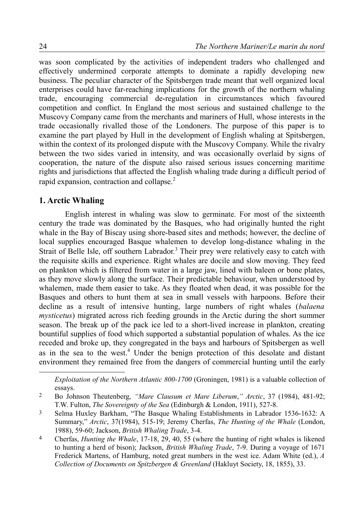was soon complicated by the activities of independent traders who challenged and effectively undermined corporate attempts to dominate a rapidly developing new business. The peculiar character of the Spitsbergen trade meant that well organized local enterprises could have far-reaching implications for the growth of the northern whaling trade, encouraging commercial de-regulation in circumstances which favoured competition and conflict. In England the most serious and sustained challenge to the Muscovy Company came from the merchants and mariners of Hull, whose interests in the trade occasionally rivalled those of the Londoners. The purpose of this paper is to examine the part played by Hull in the development of English whaling at Spitsbergen, within the context of its prolonged dispute with the Muscovy Company. While the rivalry between the two sides varied in intensity, and was occasionally overlaid by signs of cooperation, the nature of the dispute also raised serious issues concerning maritime rights and jurisdictions that affected the English whaling trade during a difficult period of rapid expansion, contraction and collapse. $2$ 

# **1. Arctic Whaling**

English interest in whaling was slow to germinate. For most of the sixteenth century the trade was dominated by the Basques, who had originally hunted the right whale in the Bay of Biscay using shore-based sites and methods; however, the decline of local supplies encouraged Basque whalemen to develop long-distance whaling in the Strait of Belle Isle, off southern Labrador.<sup>[3](#page-1-1)</sup> Their prey were relatively easy to catch with the requisite skills and experience. Right whales are docile and slow moving. They feed on plankton which is filtered from water in a large jaw, lined with baleen or bone plates, as they move slowly along the surface. Their predictable behaviour, when understood by whalemen, made them easier to take. As they floated when dead, it was possible for the Basques and others to hunt them at sea in small vessels with harpoons. Before their decline as a result of intensive hunting, large numbers of right whales (*balaena mysticetus*) migrated across rich feeding grounds in the Arctic during the short summer season. The break up of the pack ice led to a short-lived increase in plankton, creating bountiful supplies of food which supported a substantial population of whales. As the ice receded and broke up, they congregated in the bays and harbours of Spitsbergen as well as in the sea to the west.<sup>[4](#page-1-2)</sup> Under the benign protection of this desolate and distant environment they remained free from the dangers of commercial hunting until the early

<span id="page-1-0"></span>*Exploitation of the Northern Atlantic 800-1700* (Groningen, 1981) is a valuable collection of essays.

<sup>2</sup> Bo Johnson Theutenberg, *"Mare Clausum et Mare Liberum*,*" Arctic*, 37 (1984), 481-92; T.W. Fulton, *The Sovereignty of the Sea* (Edinburgh & London, 1911), 527-8.

<span id="page-1-1"></span><sup>3</sup> Selma Huxley Barkham, "The Basque Whaling Establishments in Labrador 1536-1632: A Summary," *Arctic*, 37(1984), 515-19; Jeremy Cherfas, *The Hunting of the Whale* (London, 1988), 59-60; Jackson, *British Whaling Trade*, 3-4.

<span id="page-1-2"></span><sup>4</sup> Cherfas, *Hunting the Whale*, 17-18, 29, 40, 55 (where the hunting of right whales is likened to hunting a herd of bison); Jackson, *British Whaling Trade*, 7-9. During a voyage of 1671 Frederick Martens, of Hamburg, noted great numbers in the west ice. Adam White (ed.), *A Collection of Documents on Spitzbergen & Greenland* (Hakluyt Society, 18, 1855), 33.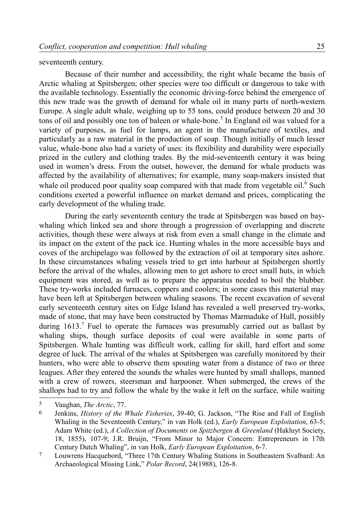#### seventeenth century.

Because of their number and accessibility, the right whale became the basis of Arctic whaling at Spitsbergen; other species were too difficult or dangerous to take with the available technology. Essentially the economic driving-force behind the emergence of this new trade was the growth of demand for whale oil in many parts of north-western Europe. A single adult whale, weighing up to 55 tons, could produce between 20 and 30 tons of oil and possibly one ton of baleen or whale-bone.<sup>[5](#page-2-0)</sup> In England oil was valued for a variety of purposes, as fuel for lamps, an agent in the manufacture of textiles, and particularly as a raw material in the production of soap. Though initially of much lesser value, whale-bone also had a variety of uses: its flexibility and durability were especially prized in the cutlery and clothing trades. By the mid-seventeenth century it was being used in women's dress. From the outset, however, the demand for whale products was affected by the availability of alternatives; for example, many soap-makers insisted that whale oil produced poor quality soap compared with that made from vegetable oil.<sup>[6](#page-2-1)</sup> Such conditions exerted a powerful influence on market demand and prices, complicating the early development of the whaling trade.

During the early seventeenth century the trade at Spitsbergen was based on baywhaling which linked sea and shore through a progression of overlapping and discrete activities, though these were always at risk from even a small change in the climate and its impact on the extent of the pack ice. Hunting whales in the more accessible bays and coves of the archipelago was followed by the extraction of oil at temporary sites ashore. In these circumstances whaling vessels tried to get into harbour at Spitsbergen shortly before the arrival of the whales, allowing men to get ashore to erect small huts, in which equipment was stored, as well as to prepare the apparatus needed to boil the blubber. These try-works included furnaces, coppers and coolers; in some cases this material may have been left at Spitsbergen between whaling seasons. The recent excavation of several early seventeenth century sites on Edge Island has revealed a well preserved try-works, made of stone, that may have been constructed by Thomas Marmaduke of Hull, possibly during  $1613$ .<sup>[7](#page-2-2)</sup> Fuel to operate the furnaces was presumably carried out as ballast by whaling ships, though surface deposits of coal were available in some parts of Spitsbergen. Whale hunting was difficult work, calling for skill, hard effort and some degree of luck. The arrival of the whales at Spitsbergen was carefully monitored by their hunters, who were able to observe them spouting water from a distance of two or three leagues. After they entered the sounds the whales were hunted by small shallops, manned with a crew of rowers, steersman and harpooner. When submerged, the crews of the shallops had to try and follow the whale by the wake it left on the surface, while waiting

<span id="page-2-0"></span><sup>5</sup> Vaughan, *The Arctic*, 77.

<span id="page-2-1"></span><sup>6</sup> Jenkins, *History of the Whale Fisheries*, 39-40; G. Jackson, "The Rise and Fall of English Whaling in the Seventeenth Century," in van Holk (ed.), *Early European Exploitation*, 63-5; Adam White (ed.), *A Collection of Documents on Spitzbergen & Greenland* (Hakluyt Society, 18, 1855), 107-9; J.R. Bruijn, "From Minor to Major Concern: Entrepreneurs in 17th Century Dutch Whaling", in van Holk, *Early European Exploitation*, 6-7.

<span id="page-2-2"></span><sup>7</sup> Louwrens Hacquebord, "Three 17th Century Whaling Stations in Southeastern Svalbard: An Archaeological Missing Link," *Polar Record*, 24(1988), 126-8.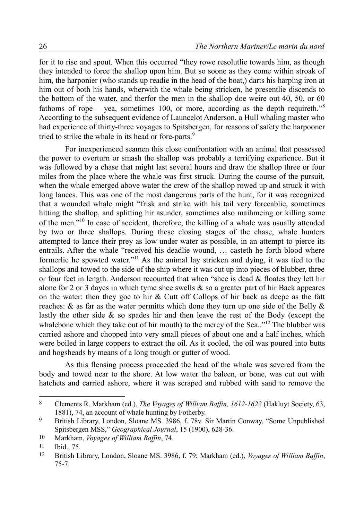for it to rise and spout. When this occurred "they rowe resolutlie towards him, as though they intended to force the shallop upon him. But so soone as they come within stroak of him, the harponier (who stands up readie in the head of the boat,) darts his harping iron at him out of both his hands, wherwith the whale being stricken, he presentlie discends to the bottom of the water, and therfor the men in the shallop doe weire out 40, 50, or 60 fathoms of rope – yea, sometimes 100, or more, according as the depth requireth.<sup>9[8](#page-3-0)</sup> According to the subsequent evidence of Launcelot Anderson, a Hull whaling master who had experience of thirty-three voyages to Spitsbergen, for reasons of safety the harpooner tried to strike the whale in its head or fore-parts.<sup>[9](#page-3-1)</sup>

For inexperienced seamen this close confrontation with an animal that possessed the power to overturn or smash the shallop was probably a terrifying experience. But it was followed by a chase that might last several hours and draw the shallop three or four miles from the place where the whale was first struck. During the course of the pursuit, when the whale emerged above water the crew of the shallop rowed up and struck it with long lances. This was one of the most dangerous parts of the hunt, for it was recognized that a wounded whale might "frisk and strike with his tail very forceablie, sometimes hitting the shallop, and splitting hir asunder, sometimes also maihmeing or killing some of the men."[10](#page-3-2) In case of accident, therefore, the killing of a whale was usually attended by two or three shallops. During these closing stages of the chase, whale hunters attempted to lance their prey as low under water as possible, in an attempt to pierce its entrails. After the whale "received his deadlie wound, … casteth he forth blood where formerlie he spowted water."[11](#page-3-3) As the animal lay stricken and dying, it was tied to the shallops and towed to the side of the ship where it was cut up into pieces of blubber, three or four feet in length. Anderson recounted that when "shee is dead  $\&$  floates they lett hir alone for 2 or 3 dayes in which tyme shee swells & so a greater part of hir Back appeares on the water: then they goe to hir  $&$  Cutt off Collops of hir back as deepe as the fatt reaches:  $\&$  as far as the water permitts which done they turn up one side of the Belly  $\&$ lastly the other side & so spades hir and then leave the rest of the Body (except the whalebone which they take out of hir mouth) to the mercy of the Sea.. $12$ <sup>12</sup> The blubber was carried ashore and chopped into very small pieces of about one and a half inches, which were boiled in large coppers to extract the oil. As it cooled, the oil was poured into butts and hogsheads by means of a long trough or gutter of wood.

As this flensing process proceeded the head of the whale was severed from the body and towed near to the shore. At low water the baleen, or bone, was cut out with hatchets and carried ashore, where it was scraped and rubbed with sand to remove the

<span id="page-3-0"></span><sup>8</sup> Clements R. Markham (ed.), *The Voyages of William Baffin, 1612-1622* (Hakluyt Society, 63, 1881), 74, an account of whale hunting by Fotherby.

<span id="page-3-1"></span><sup>9</sup> British Library, London, Sloane MS. 3986, f. 78v. Sir Martin Conway, "Some Unpublished Spitsbergen MSS," *Geographical Journal*, 15 (1900), 628-36.

<span id="page-3-2"></span><sup>10</sup> Markham, *Voyages of William Baffin*, 74.

<span id="page-3-3"></span><sup>11</sup> Ibid., 75.

<span id="page-3-4"></span><sup>12</sup> British Library, London, Sloane MS. 3986, f. 79; Markham (ed.), *Voyages of William Baffin*, 75-7.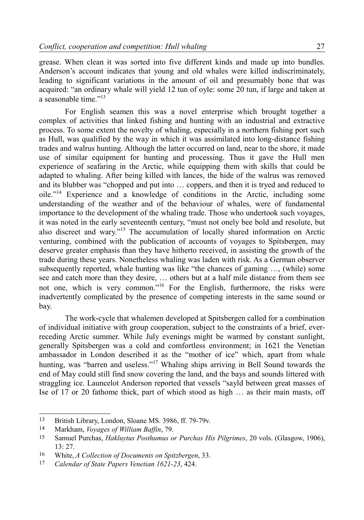grease. When clean it was sorted into five different kinds and made up into bundles. Anderson's account indicates that young and old whales were killed indiscriminately, leading to significant variations in the amount of oil and presumably bone that was acquired: "an ordinary whale will yield 12 tun of oyle: some 20 tun, if large and taken at a seasonable time $^{13}$  $^{13}$  $^{13}$ 

For English seamen this was a novel enterprise which brought together a complex of activities that linked fishing and hunting with an industrial and extractive process. To some extent the novelty of whaling, especially in a northern fishing port such as Hull, was qualified by the way in which it was assimilated into long-distance fishing trades and walrus hunting. Although the latter occurred on land, near to the shore, it made use of similar equipment for hunting and processing. Thus it gave the Hull men experience of seafaring in the Arctic, while equipping them with skills that could be adapted to whaling. After being killed with lances, the hide of the walrus was removed and its blubber was "chopped and put into … coppers, and then it is tryed and reduced to oile."[14](#page-4-1) Experience and a knowledge of conditions in the Arctic, including some understanding of the weather and of the behaviour of whales, were of fundamental importance to the development of the whaling trade. Those who undertook such voyages, it was noted in the early seventeenth century, "must not onely bee bold and resolute, but also discreet and wary."[15](#page-4-2) The accumulation of locally shared information on Arctic venturing, combined with the publication of accounts of voyages to Spitsbergen, may deserve greater emphasis than they have hitherto received, in assisting the growth of the trade during these years. Nonetheless whaling was laden with risk. As a German observer subsequently reported, whale hunting was like "the chances of gaming …, (while) some see and catch more than they desire, … others but at a half mile distance from them see not one, which is very common."[16](#page-4-3) For the English, furthermore, the risks were inadvertently complicated by the presence of competing interests in the same sound or bay.

The work-cycle that whalemen developed at Spitsbergen called for a combination of individual initiative with group cooperation, subject to the constraints of a brief, everreceding Arctic summer. While July evenings might be warmed by constant sunlight, generally Spitsbergen was a cold and comfortless environment; in 1621 the Venetian ambassador in London described it as the "mother of ice" which, apart from whale hunting, was "barren and useless."<sup>[17](#page-4-4)</sup> Whaling ships arriving in Bell Sound towards the end of May could still find snow covering the land, and the bays and sounds littered with straggling ice. Launcelot Anderson reported that vessels "sayld between great masses of Ise of 17 or 20 fathome thick, part of which stood as high … as their main masts, off

<span id="page-4-0"></span><sup>13</sup> British Library, London, Sloane MS. 3986, ff. 79-79v.

<span id="page-4-1"></span><sup>14</sup> Markham, *Voyages of William Baffin*, 79.

<span id="page-4-2"></span><sup>15</sup> Samuel Purchas, *Hakluytus Posthumus or Purchas His Pilgrimes*, 20 vols. (Glasgow, 1906), 13: 27.

<span id="page-4-3"></span><sup>16</sup> White, *A Collection of Documents on Spitzbergen*, 33.

<span id="page-4-4"></span><sup>17</sup> *Calendar of State Papers Venetian 1621-23*, 424.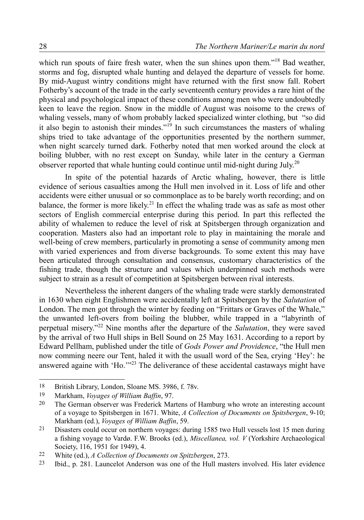which run spouts of faire fresh water, when the sun shines upon them."<sup>[18](#page-5-0)</sup> Bad weather, storms and fog, disrupted whale hunting and delayed the departure of vessels for home. By mid-August wintry conditions might have returned with the first snow fall. Robert Fotherby's account of the trade in the early seventeenth century provides a rare hint of the physical and psychological impact of these conditions among men who were undoubtedly keen to leave the region. Snow in the middle of August was noisome to the crews of whaling vessels, many of whom probably lacked specialized winter clothing, but "so did it also begin to astonish their mindes."[19](#page-5-1) In such circumstances the masters of whaling ships tried to take advantage of the opportunities presented by the northern summer, when night scarcely turned dark. Fotherby noted that men worked around the clock at boiling blubber, with no rest except on Sunday, while later in the century a German observer reported that whale hunting could continue until mid-night during July.<sup>[20](#page-5-2)</sup>

In spite of the potential hazards of Arctic whaling, however, there is little evidence of serious casualties among the Hull men involved in it. Loss of life and other accidents were either unusual or so commonplace as to be barely worth recording; and on balance, the former is more likely.<sup>[21](#page-5-3)</sup> In effect the whaling trade was as safe as most other sectors of English commercial enterprise during this period. In part this reflected the ability of whalemen to reduce the level of risk at Spitsbergen through organization and cooperation. Masters also had an important role to play in maintaining the morale and well-being of crew members, particularly in promoting a sense of community among men with varied experiences and from diverse backgrounds. To some extent this may have been articulated through consultation and consensus, customary characteristics of the fishing trade, though the structure and values which underpinned such methods were subject to strain as a result of competition at Spitsbergen between rival interests.

Nevertheless the inherent dangers of the whaling trade were starkly demonstrated in 1630 when eight Englishmen were accidentally left at Spitsbergen by the *Salutation* of London. The men got through the winter by feeding on "Frittars or Graves of the Whale," the unwanted left-overs from boiling the blubber, while trapped in a "labyrinth of perpetual misery."[22](#page-5-4) Nine months after the departure of the *Salutation*, they were saved by the arrival of two Hull ships in Bell Sound on 25 May 1631. According to a report by Edward Pellham, published under the title of *Gods Power and Providence*, "the Hull men now comming neere our Tent, haled it with the usuall word of the Sea, crying 'Hey': he answered againe with 'Ho.'<sup>[23](#page-5-5)</sup> The deliverance of these accidental castaways might have

<span id="page-5-0"></span><sup>18</sup> British Library, London, Sloane MS. 3986, f. 78v.

<span id="page-5-1"></span><sup>19</sup> Markham, *Voyages of William Baffin*, 97.

<span id="page-5-2"></span><sup>&</sup>lt;sup>20</sup> The German observer was Frederick Martens of Hamburg who wrote an interesting account of a voyage to Spitsbergen in 1671. White, *A Collection of Documents on Spitsbergen*, 9-10; Markham (ed.), *Voyages of William Baffin*, 59.

<span id="page-5-3"></span><sup>&</sup>lt;sup>21</sup> Disasters could occur on northern voyages: during 1585 two Hull vessels lost 15 men during a fishing voyage to Vardø. F.W. Brooks (ed.), *Miscellanea, vol. V* (Yorkshire Archaeological Society, 116, 1951 for 1949), 4.

<span id="page-5-4"></span><sup>22</sup> White (ed.), *A Collection of Documents on Spitzbergen*, 273.

<span id="page-5-5"></span><sup>23</sup> Ibid., p. 281. Launcelot Anderson was one of the Hull masters involved. His later evidence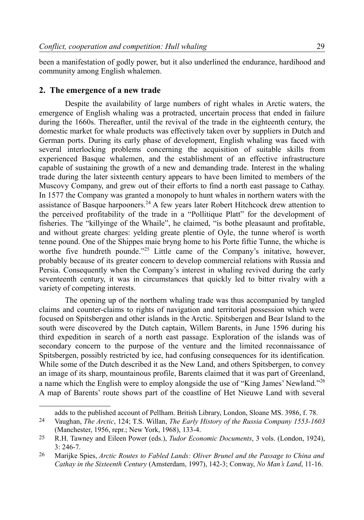been a manifestation of godly power, but it also underlined the endurance, hardihood and community among English whalemen.

# **2. The emergence of a new trade**

Despite the availability of large numbers of right whales in Arctic waters, the emergence of English whaling was a protracted, uncertain process that ended in failure during the 1660s. Thereafter, until the revival of the trade in the eighteenth century, the domestic market for whale products was effectively taken over by suppliers in Dutch and German ports. During its early phase of development, English whaling was faced with several interlocking problems concerning the acquisition of suitable skills from experienced Basque whalemen, and the establishment of an effective infrastructure capable of sustaining the growth of a new and demanding trade. Interest in the whaling trade during the later sixteenth century appears to have been limited to members of the Muscovy Company, and grew out of their efforts to find a north east passage to Cathay. In 1577 the Company was granted a monopoly to hunt whales in northern waters with the assistance of Basque harpooners.<sup>[24](#page-6-0)</sup> A few years later Robert Hitchcock drew attention to the perceived profitability of the trade in a "Pollitique Platt" for the development of fisheries. The "killyinge of the Whaile", he claimed, "is bothe pleasaunt and profitable, and without greate charges: yelding greate plentie of Oyle, the tunne wherof is worth tenne pound. One of the Shippes maie bryng home to his Porte fiftie Tunne, the whiche is worthe five hundreth pounde."<sup>[25](#page-6-1)</sup> Little came of the Company's initative, however, probably because of its greater concern to develop commercial relations with Russia and Persia. Consequently when the Company's interest in whaling revived during the early seventeenth century, it was in circumstances that quickly led to bitter rivalry with a variety of competing interests.

The opening up of the northern whaling trade was thus accompanied by tangled claims and counter-claims to rights of navigation and territorial possession which were focused on Spitsbergen and other islands in the Arctic. Spitsbergen and Bear Island to the south were discovered by the Dutch captain, Willem Barents, in June 1596 during his third expedition in search of a north east passage. Exploration of the islands was of secondary concern to the purpose of the venture and the limited reconnaissance of Spitsbergen, possibly restricted by ice, had confusing consequences for its identification. While some of the Dutch described it as the New Land, and others Spitsbergen, to convey an image of its sharp, mountainous profile, Barents claimed that it was part of Greenland, a name which the English were to employ alongside the use of "King James' Newland."[26](#page-6-2) A map of Barents' route shows part of the coastline of Het Nieuwe Land with several

<span id="page-6-0"></span>adds to the published account of Pellham. British Library, London, Sloane MS. 3986, f. 78.

<sup>24</sup> Vaughan, *The Arctic*, 124; T.S. Willan, *The Early History of the Russia Company 1553-1603* (Manchester, 1956, repr.; New York, 1968), 133-4.

<span id="page-6-1"></span><sup>25</sup> R.H. Tawney and Eileen Power (eds.), *Tudor Economic Documents*, 3 vols. (London, 1924), 3: 246-7.

<span id="page-6-2"></span><sup>26</sup> Marijke Spies, *Arctic Routes to Fabled Lands: Oliver Brunel and the Passage to China and Cathay in the Sixteenth Century* (Amsterdam, 1997), 142-3; Conway, *No Man's Land*, 11-16.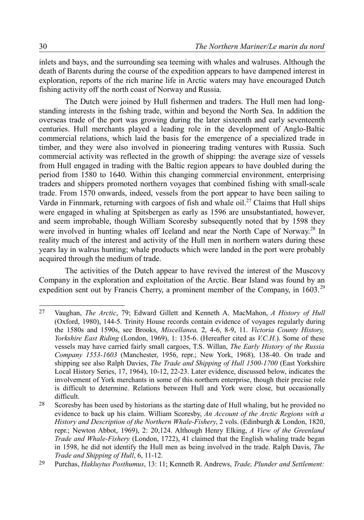inlets and bays, and the surrounding sea teeming with whales and walruses. Although the death of Barents during the course of the expedition appears to have dampened interest in exploration, reports of the rich marine life in Arctic waters may have encouraged Dutch fishing activity off the north coast of Norway and Russia.

The Dutch were joined by Hull fishermen and traders. The Hull men had longstanding interests in the fishing trade, within and beyond the North Sea. In addition the overseas trade of the port was growing during the later sixteenth and early seventeenth centuries. Hull merchants played a leading role in the development of Anglo-Baltic commercial relations, which laid the basis for the emergence of a specialized trade in timber, and they were also involved in pioneering trading ventures with Russia. Such commercial activity was reflected in the growth of shipping: the average size of vessels from Hull engaged in trading with the Baltic region appears to have doubled during the period from 1580 to 1640. Within this changing commercial environment, enterprising traders and shippers promoted northern voyages that combined fishing with small-scale trade. From 1570 onwards, indeed, vessels from the port appear to have been sailing to Vardø in Finnmark, returning with cargoes of fish and whale oil.<sup>[27](#page-7-0)</sup> Claims that Hull ships were engaged in whaling at Spitsbergen as early as 1596 are unsubstantiated, however, and seem improbable, though William Scoresby subsequently noted that by 1598 they were involved in hunting whales off Iceland and near the North Cape of Norway.<sup>[28](#page-7-1)</sup> In reality much of the interest and activity of the Hull men in northern waters during these years lay in walrus hunting; whale products which were landed in the port were probably acquired through the medium of trade.

The activities of the Dutch appear to have revived the interest of the Muscovy Company in the exploration and exploitation of the Arctic. Bear Island was found by an expedition sent out by Francis Cherry, a prominent member of the Company, in  $1603$ <sup>[29](#page-7-2)</sup>

<span id="page-7-0"></span><sup>27</sup> Vaughan, *The Arctic*, 79; Edward Gillett and Kenneth A. MacMahon, *A History of Hull* (Oxford, 1980), 144-5. Trinity House records contain evidence of voyages regularly during the 1580s and 1590s, see Brooks, *Miscellanea,* 2, 4-6, 8-9, 11. *Victoria County History, Yorkshire East Riding* (London, 1969), 1: 135-6. (Hereafter cited as *V.C.H.*). Some of these vessels may have carried fairly small cargoes, T.S. Willan, *The Early History of the Russia Company 1553-1603* (Manchester, 1956, repr.; New York, 1968), 138-40. On trade and shipping see also Ralph Davies, *The Trade and Shipping of Hull 1500-1700* (East Yorkshire Local History Series, 17, 1964), 10-12, 22-23. Later evidence, discussed below, indicates the involvement of York merchants in some of this northern enterprise, though their precise role is difficult to determine. Relations between Hull and York were close, but occasionally difficult.

<span id="page-7-1"></span><sup>28</sup> Scoresby has been used by historians as the starting date of Hull whaling, but he provided no evidence to back up his claim. William Scoresby, *An Account of the Arctic Regions with a History and Description of the Northern Whale-Fishery*, 2 vols. (Edinburgh & London, 1820, repr.; Newton Abbot, 1969), 2: 20,124. Although Henry Elking, *A View of the Greenland Trade and Whale-Fishery* (London, 1722), 41 claimed that the English whaling trade began in 1598, he did not identify the Hull men as being involved in the trade. Ralph Davis, *The Trade and Shipping of Hull*, 6, 11-12.

<span id="page-7-2"></span><sup>29</sup> Purchas, *Hakluytus Posthumus*, 13: 11; Kenneth R. Andrews, *Trade, Plunder and Settlement:*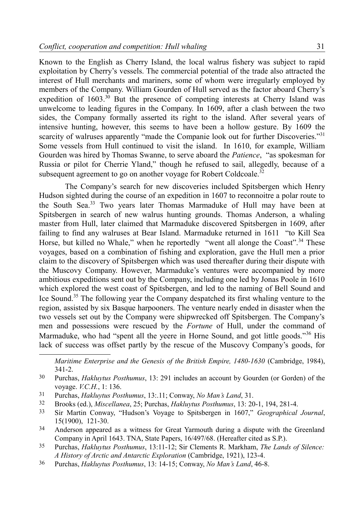Known to the English as Cherry Island, the local walrus fishery was subject to rapid exploitation by Cherry's vessels. The commercial potential of the trade also attracted the interest of Hull merchants and mariners, some of whom were irregularly employed by members of the Company. William Gourden of Hull served as the factor aboard Cherry's expedition of  $1603$ <sup>[30](#page-8-0)</sup> But the presence of competing interests at Cherry Island was unwelcome to leading figures in the Company. In 1609, after a clash between the two sides, the Company formally asserted its right to the island. After several years of intensive hunting, however, this seems to have been a hollow gesture. By 1609 the scarcity of walruses apparently "made the Companie look out for further Discoveries."<sup>[31](#page-8-1)</sup> Some vessels from Hull continued to visit the island. In 1610, for example, William Gourden was hired by Thomas Swanne, to serve aboard the *Patience*, "as spokesman for Russia or pilot for Cherrie Yland," though he refused to sail, allegedly, because of a subsequent agreement to go on another voyage for Robert Coldcoale.<sup>[32](#page-8-2)</sup>

The Company's search for new discoveries included Spitsbergen which Henry Hudson sighted during the course of an expedition in 1607 to reconnoitre a polar route to the South Sea.<sup>[33](#page-8-3)</sup> Two years later Thomas Marmaduke of Hull may have been at Spitsbergen in search of new walrus hunting grounds. Thomas Anderson, a whaling master from Hull, later claimed that Marmaduke discovered Spitsbergen in 1609, after failing to find any walruses at Bear Island. Marmaduke returned in 1611 "to Kill Sea Horse, but killed no Whale," when he reportedly "went all alonge the Coast".<sup>[34](#page-8-4)</sup> These voyages, based on a combination of fishing and exploration, gave the Hull men a prior claim to the discovery of Spitsbergen which was used thereafter during their dispute with the Muscovy Company. However, Marmaduke's ventures were accompanied by more ambitious expeditions sent out by the Company, including one led by Jonas Poole in 1610 which explored the west coast of Spitsbergen, and led to the naming of Bell Sound and Ice Sound.[35](#page-8-5) The following year the Company despatched its first whaling venture to the region, assisted by six Basque harpooners. The venture nearly ended in disaster when the two vessels set out by the Company were shipwrecked off Spitsbergen. The Company's men and possessions were rescued by the *Fortune* of Hull, under the command of Marmaduke, who had "spent all the yeere in Horne Sound, and got little goods."<sup>[36](#page-8-6)</sup> His lack of success was offset partly by the rescue of the Muscovy Company's goods, for

*Maritime Enterprise and the Genesis of the British Empire, 1480-1630* (Cambridge, 1984), 341-2.

- <span id="page-8-1"></span>31 Purchas, *Hakluytus Posthumus*, 13:.11; Conway, *No Man's Land*, 31.
- <span id="page-8-2"></span>32 Brooks (ed.), *Miscellanea*, 25; Purchas, *Hakluytus Posthumus*, 13: 20-1, 194, 281-4.
- <span id="page-8-3"></span>33 Sir Martin Conway, "Hudson's Voyage to Spitsbergen in 1607," *Geographical Journal*, 15(1900), 121-30.
- <span id="page-8-4"></span>34 Anderson appeared as a witness for Great Yarmouth during a dispute with the Greenland Company in April 1643. TNA, State Papers, 16/497/68. (Hereafter cited as S.P.).
- <span id="page-8-5"></span>35 Purchas, *Hakluytus Posthumus*, 13:11-12; Sir Clements R. Markham, *The Lands of Silence: A History of Arctic and Antarctic Exploration* (Cambridge, 1921), 123-4.
- <span id="page-8-6"></span>36 Purchas, *Hakluytus Posthumus*, 13: 14-15; Conway, *No Man's Land*, 46-8.

<span id="page-8-0"></span><sup>30</sup> Purchas, *Hakluytus Posthumus*, 13: 291 includes an account by Gourden (or Gorden) of the voyage. *V.C.H.*, 1: 136.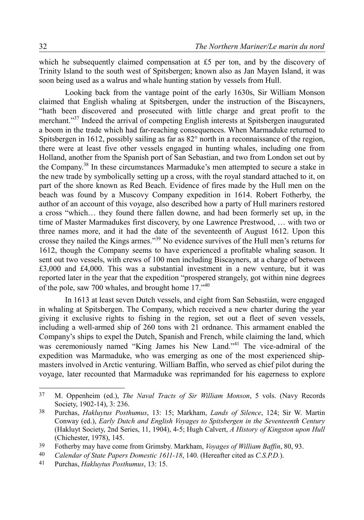which he subsequently claimed compensation at £5 per ton, and by the discovery of Trinity Island to the south west of Spitsbergen; known also as Jan Mayen Island, it was soon being used as a walrus and whale hunting station by vessels from Hull.

Looking back from the vantage point of the early 1630s, Sir William Monson claimed that English whaling at Spitsbergen, under the instruction of the Biscayners, "hath been discovered and prosecuted with little charge and great profit to the merchant."[37](#page-9-0) Indeed the arrival of competing English interests at Spitsbergen inaugurated a boom in the trade which had far-reaching consequences. When Marmaduke returned to Spitsbergen in 1612, possibly sailing as far as 82° north in a reconnaissance of the region, there were at least five other vessels engaged in hunting whales, including one from Holland, another from the Spanish port of San Sebastian, and two from London set out by the Company.[38](#page-9-1) In these circumstances Marmaduke's men attempted to secure a stake in the new trade by symbolically setting up a cross, with the royal standard attached to it, on part of the shore known as Red Beach. Evidence of fires made by the Hull men on the beach was found by a Muscovy Company expedition in 1614. Robert Fotherby, the author of an account of this voyage, also described how a party of Hull mariners restored a cross "which… they found there fallen downe, and had been formerly set up, in the time of Master Marmadukes first discovery, by one Lawrence Prestwood, … with two or three names more, and it had the date of the seventeenth of August 1612. Upon this crosse they nailed the Kings armes."[39](#page-9-2) No evidence survives of the Hull men's returns for 1612, though the Company seems to have experienced a profitable whaling season. It sent out two vessels, with crews of 100 men including Biscayners, at a charge of between £3,000 and £4,000. This was a substantial investment in a new venture, but it was reported later in the year that the expedition "prospered strangely, got within nine degrees of the pole, saw 700 whales, and brought home 17.<sup>7[40](#page-9-3)</sup>

In 1613 at least seven Dutch vessels, and eight from San Sebastián, were engaged in whaling at Spitsbergen. The Company, which received a new charter during the year giving it exclusive rights to fishing in the region, set out a fleet of seven vessels, including a well-armed ship of 260 tons with 21 ordnance. This armament enabled the Company's ships to expel the Dutch, Spanish and French, while claiming the land, which was ceremoniously named "King James his New Land."<sup>[41](#page-9-4)</sup> The vice-admiral of the expedition was Marmaduke, who was emerging as one of the most experienced shipmasters involved in Arctic venturing. William Baffin, who served as chief pilot during the voyage, later recounted that Marmaduke was reprimanded for his eagerness to explore

<span id="page-9-0"></span><sup>37</sup> M. Oppenheim (ed.), *The Naval Tracts of Sir William Monson*, 5 vols. (Navy Records Society, 1902-14), 3: 236.

<span id="page-9-1"></span><sup>38</sup> Purchas, *Hakluytus Posthumus*, 13: 15; Markham, *Lands of Silence*, 124; Sir W. Martin Conway (ed.), *Early Dutch and English Voyages to Spitsbergen in the Seventeenth Century* (Hakluyt Society, 2nd Series, 11, 1904), 4-5; Hugh Calvert, *A History of Kingston upon Hull* (Chichester, 1978), 145.

<span id="page-9-2"></span><sup>39</sup> Fotherby may have come from Grimsby. Markham, *Voyages of William Baffin*, 80, 93.

<span id="page-9-3"></span><sup>40</sup> *Calendar of State Papers Domestic 1611-18*, 140. (Hereafter cited as *C.S.P.D.*).

<span id="page-9-4"></span><sup>41</sup> Purchas, *Hakluytus Posthumus*, 13: 15.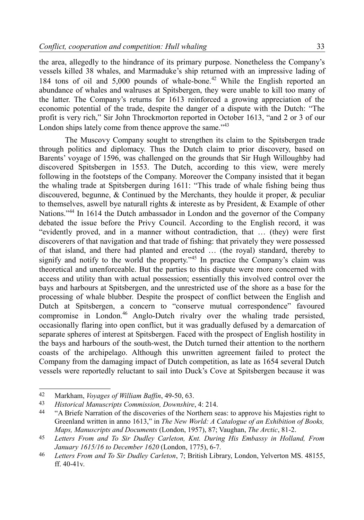the area, allegedly to the hindrance of its primary purpose. Nonetheless the Company's vessels killed 38 whales, and Marmaduke's ship returned with an impressive lading of 184 tons of oil and  $5,000$  pounds of whale-bone.<sup>[42](#page-10-0)</sup> While the English reported an abundance of whales and walruses at Spitsbergen, they were unable to kill too many of the latter. The Company's returns for 1613 reinforced a growing appreciation of the economic potential of the trade, despite the danger of a dispute with the Dutch: "The profit is very rich," Sir John Throckmorton reported in October 1613, "and 2 or 3 of our London ships lately come from thence approve the same."<sup>[43](#page-10-1)</sup>

The Muscovy Company sought to strengthen its claim to the Spitsbergen trade through politics and diplomacy. Thus the Dutch claim to prior discovery, based on Barents' voyage of 1596, was challenged on the grounds that Sir Hugh Willoughby had discovered Spitsbergen in 1553. The Dutch, according to this view, were merely following in the footsteps of the Company. Moreover the Company insisted that it began the whaling trade at Spitsbergen during 1611: "This trade of whale fishing being thus discouvered, begunne, & Continued by the Merchants, they houlde it proper, & peculiar to themselves, aswell bye naturall rights  $\&$  intereste as by President,  $\&$  Example of other Nations."<sup>[44](#page-10-2)</sup> In 1614 the Dutch ambassador in London and the governor of the Company debated the issue before the Privy Council. According to the English record, it was "evidently proved, and in a manner without contradiction, that … (they) were first discoverers of that navigation and that trade of fishing: that privately they were possessed of that island, and there had planted and erected … (the royal) standard, thereby to signify and notify to the world the property."<sup>[45](#page-10-3)</sup> In practice the Company's claim was theoretical and unenforceable. But the parties to this dispute were more concerned with access and utility than with actual possession; essentially this involved control over the bays and harbours at Spitsbergen, and the unrestricted use of the shore as a base for the processing of whale blubber. Despite the prospect of conflict between the English and Dutch at Spitsbergen, a concern to "conserve mutual correspondence" favoured compromise in London.[46](#page-10-4) Anglo-Dutch rivalry over the whaling trade persisted, occasionally flaring into open conflict, but it was gradually defused by a demarcation of separate spheres of interest at Spitsbergen. Faced with the prospect of English hostility in the bays and harbours of the south-west, the Dutch turned their attention to the northern coasts of the archipelago. Although this unwritten agreement failed to protect the Company from the damaging impact of Dutch competition, as late as 1654 several Dutch vessels were reportedly reluctant to sail into Duck's Cove at Spitsbergen because it was

<span id="page-10-0"></span><sup>42</sup> Markham, *Voyages of William Baffin*, 49-50, 63.

<span id="page-10-1"></span><sup>43</sup> *Historical Manuscripts Commission, Downshire*, 4: 214.

<span id="page-10-2"></span><sup>&</sup>lt;sup>44</sup> "A Briefe Narration of the discoveries of the Northern seas: to approve his Majesties right to Greenland written in anno 1613," in *The New World: A Catalogue of an Exhibition of Books, Maps, Manuscripts and Documents* (London, 1957), 87; Vaughan, *The Arctic*, 81-2.

<span id="page-10-3"></span><sup>45</sup> *Letters From and To Sir Dudley Carleton, Knt. During His Embassy in Holland, From January 1615/16 to December 1620* (London, 1775), 6-7.

<span id="page-10-4"></span><sup>46</sup> *Letters From and To Sir Dudley Carleton*, 7; British Library, London, Yelverton MS. 48155, ff. 40-41v.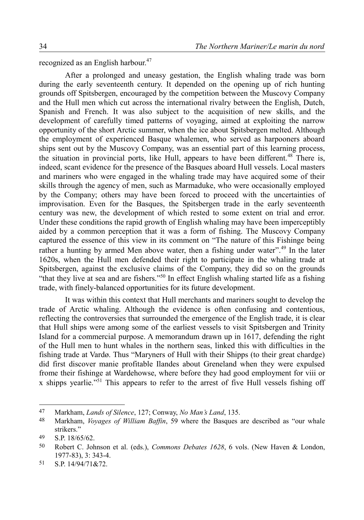recognized as an English harbour.<sup>[47](#page-11-0)</sup>

After a prolonged and uneasy gestation, the English whaling trade was born during the early seventeenth century. It depended on the opening up of rich hunting grounds off Spitsbergen, encouraged by the competition between the Muscovy Company and the Hull men which cut across the international rivalry between the English, Dutch, Spanish and French. It was also subject to the acquisition of new skills, and the development of carefully timed patterns of voyaging, aimed at exploiting the narrow opportunity of the short Arctic summer, when the ice about Spitsbergen melted. Although the employment of experienced Basque whalemen, who served as harpooners aboard ships sent out by the Muscovy Company, was an essential part of this learning process, the situation in provincial ports, like Hull, appears to have been different.<sup>[48](#page-11-1)</sup> There is, indeed, scant evidence for the presence of the Basques aboard Hull vessels. Local masters and mariners who were engaged in the whaling trade may have acquired some of their skills through the agency of men, such as Marmaduke, who were occasionally employed by the Company; others may have been forced to proceed with the uncertainties of improvisation. Even for the Basques, the Spitsbergen trade in the early seventeenth century was new, the development of which rested to some extent on trial and error. Under these conditions the rapid growth of English whaling may have been imperceptibly aided by a common perception that it was a form of fishing. The Muscovy Company captured the essence of this view in its comment on "The nature of this Fishinge being rather a hunting by armed Men above water, then a fishing under water".<sup>[49](#page-11-2)</sup> In the later 1620s, when the Hull men defended their right to participate in the whaling trade at Spitsbergen, against the exclusive claims of the Company, they did so on the grounds "that they live at sea and are fishers."[50](#page-11-3) In effect English whaling started life as a fishing trade, with finely-balanced opportunities for its future development.

It was within this context that Hull merchants and mariners sought to develop the trade of Arctic whaling. Although the evidence is often confusing and contentious, reflecting the controversies that surrounded the emergence of the English trade, it is clear that Hull ships were among some of the earliest vessels to visit Spitsbergen and Trinity Island for a commercial purpose. A memorandum drawn up in 1617, defending the right of the Hull men to hunt whales in the northern seas, linked this with difficulties in the fishing trade at Vardø. Thus "Maryners of Hull with their Shipps (to their great chardge) did first discover manie profitable Ilandes about Greneland when they were expulsed frome their fishinge at Wardehowse, where before they had good employment for viii or x shipps yearlie."[51](#page-11-4) This appears to refer to the arrest of five Hull vessels fishing off

<span id="page-11-0"></span><sup>47</sup> Markham, *Lands of Silence*, 127; Conway, *No Man's Land*, 135.

<span id="page-11-1"></span><sup>48</sup> Markham, *Voyages of William Baffin*, 59 where the Basques are described as "our whale strikers."

<span id="page-11-2"></span><sup>49</sup> S.P. 18/65/62.

<span id="page-11-3"></span><sup>50</sup> Robert C. Johnson et al. (eds.), *Commons Debates 1628*, 6 vols. (New Haven & London, 1977-83), 3: 343-4.

<span id="page-11-4"></span><sup>51</sup> S.P. 14/94/71&72.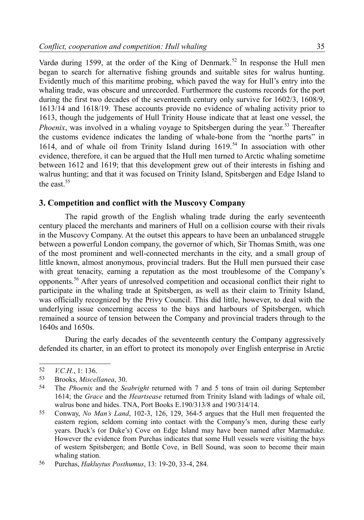Vardø during 1599, at the order of the King of Denmark.<sup>[52](#page-12-0)</sup> In response the Hull men began to search for alternative fishing grounds and suitable sites for walrus hunting. Evidently much of this maritime probing, which paved the way for Hull's entry into the whaling trade, was obscure and unrecorded. Furthermore the customs records for the port during the first two decades of the seventeenth century only survive for 1602/3, 1608/9, 1613/14 and 1618/19. These accounts provide no evidence of whaling activity prior to 1613, though the judgements of Hull Trinity House indicate that at least one vessel, the *Phoenix*, was involved in a whaling voyage to Spitsbergen during the year.<sup>[53](#page-12-1)</sup> Thereafter the customs evidence indicates the landing of whale-bone from the "northe parts" in 1614, and of whale oil from Trinity Island during 1619.[54](#page-12-2) In association with other evidence, therefore, it can be argued that the Hull men turned to Arctic whaling sometime between 1612 and 1619; that this development grew out of their interests in fishing and walrus hunting; and that it was focused on Trinity Island, Spitsbergen and Edge Island to the east  $55$ 

# **3. Competition and conflict with the Muscovy Company**

The rapid growth of the English whaling trade during the early seventeenth century placed the merchants and mariners of Hull on a collision course with their rivals in the Muscovy Company. At the outset this appears to have been an unbalanced struggle between a powerful London company, the governor of which, Sir Thomas Smith, was one of the most prominent and well-connected merchants in the city, and a small group of little known, almost anonymous, provincial traders. But the Hull men pursued their case with great tenacity, earning a reputation as the most troublesome of the Company's opponents.[56](#page-12-4) After years of unresolved competition and occasional conflict their right to participate in the whaling trade at Spitsbergen, as well as their claim to Trinity Island, was officially recognized by the Privy Council. This did little, however, to deal with the underlying issue concerning access to the bays and harbours of Spitsbergen, which remained a source of tension between the Company and provincial traders through to the 1640s and 1650s.

During the early decades of the seventeenth century the Company aggressively defended its charter, in an effort to protect its monopoly over English enterprise in Arctic

<span id="page-12-0"></span><sup>52</sup> *V.C.H.*, 1: 136.

<span id="page-12-1"></span><sup>53</sup> Brooks, *Miscellanea*, 30.

<span id="page-12-2"></span><sup>54</sup> The *Phoenix* and the *Seabright* returned with 7 and 5 tons of train oil during September 1614; the *Grace* and the *Heartsease* returned from Trinity Island with ladings of whale oil, walrus bone and hides. TNA, Port Books E.190/313/8 and 190/314/14.

<span id="page-12-3"></span><sup>55</sup> Conway, *No Man's Land*, 102-3, 126, 129, 364-5 argues that the Hull men frequented the eastern region, seldom coming into contact with the Company's men, during these early years. Duck's (or Duke's) Cove on Edge Island may have been named after Marmaduke. However the evidence from Purchas indicates that some Hull vessels were visiting the bays of western Spitsbergen; and Bottle Cove, in Bell Sound, was soon to become their main whaling station.

<span id="page-12-4"></span><sup>56</sup> Purchas, *Hakluytus Posthumus*, 13: 19-20, 33-4, 284.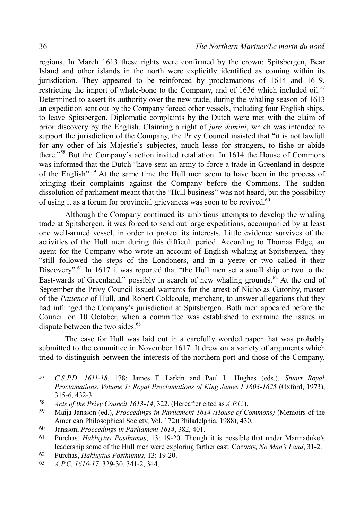regions. In March 1613 these rights were confirmed by the crown: Spitsbergen, Bear Island and other islands in the north were explicitly identified as coming within its jurisdiction. They appeared to be reinforced by proclamations of 1614 and 1619, restricting the import of whale-bone to the Company, and of 1636 which included oil.<sup>[57](#page-13-0)</sup> Determined to assert its authority over the new trade, during the whaling season of 1613 an expedition sent out by the Company forced other vessels, including four English ships, to leave Spitsbergen. Diplomatic complaints by the Dutch were met with the claim of prior discovery by the English. Claiming a right of *jure domini*, which was intended to support the jurisdiction of the Company, the Privy Council insisted that "it is not lawfull for any other of his Majestie's subjectes, much lesse for strangers, to fishe or abide there."[58](#page-13-1) But the Company's action invited retaliation. In 1614 the House of Commons was informed that the Dutch "have sent an army to force a trade in Greenland in despite of the English".[59](#page-13-2) At the same time the Hull men seem to have been in the process of bringing their complaints against the Company before the Commons. The sudden dissolution of parliament meant that the "Hull business" was not heard, but the possibility of using it as a forum for provincial grievances was soon to be revived.<sup>[60](#page-13-3)</sup>

Although the Company continued its ambitious attempts to develop the whaling trade at Spitsbergen, it was forced to send out large expeditions, accompanied by at least one well-armed vessel, in order to protect its interests. Little evidence survives of the activities of the Hull men during this difficult period. According to Thomas Edge, an agent for the Company who wrote an account of English whaling at Spitsbergen, they "still followed the steps of the Londoners, and in a yeere or two called it their Discovery".<sup>[61](#page-13-4)</sup> In 1617 it was reported that "the Hull men set a small ship or two to the East-wards of Greenland," possibly in search of new whaling grounds. $62$  At the end of September the Privy Council issued warrants for the arrest of Nicholas Gatonby, master of the *Patience* of Hull, and Robert Coldcoale, merchant, to answer allegations that they had infringed the Company's jurisdiction at Spitsbergen. Both men appeared before the Council on 10 October, when a committee was established to examine the issues in dispute between the two sides. $63$ 

The case for Hull was laid out in a carefully worded paper that was probably submitted to the committee in November 1617. It drew on a variety of arguments which tried to distinguish between the interests of the northern port and those of the Company,

<span id="page-13-0"></span><sup>57</sup> *C.S.P.D. 1611-18*, 178; James F. Larkin and Paul L. Hughes (eds.), *Stuart Royal Proclamations. Volume 1: Royal Proclamations of King James I 1603-1625* (Oxford, 1973), 315-6, 432-3.

<span id="page-13-1"></span><sup>58</sup> *Acts of the Privy Council 1613-14*, 322. (Hereafter cited as *A.P.C.*).

<span id="page-13-2"></span><sup>59</sup> Maija Jansson (ed.), *Proceedings in Parliament 1614 (House of Commons)* (Memoirs of the American Philosophical Society, Vol. 172)(Philadelphia, 1988), 430.

<span id="page-13-3"></span><sup>60</sup> Jansson, *Proceedings in Parliament 1614*, 382, 401.

<span id="page-13-4"></span><sup>61</sup> Purchas, *Hakluytus Posthumus*, 13: 19-20. Though it is possible that under Marmaduke's leadership some of the Hull men were exploring farther east. Conway, *No Man's Land*, 31-2.

<span id="page-13-5"></span><sup>62</sup> Purchas, *Hakluytus Posthumus*, 13: 19-20.

<span id="page-13-6"></span><sup>63</sup> *A.P.C. 1616-17*, 329-30, 341-2, 344.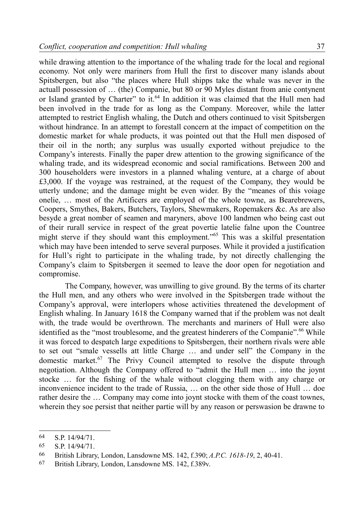while drawing attention to the importance of the whaling trade for the local and regional economy. Not only were mariners from Hull the first to discover many islands about Spitsbergen, but also "the places where Hull shipps take the whale was never in the actuall possession of … (the) Companie, but 80 or 90 Myles distant from anie contynent or Island granted by Charter" to it.<sup>[64](#page-14-0)</sup> In addition it was claimed that the Hull men had been involved in the trade for as long as the Company. Moreover, while the latter attempted to restrict English whaling, the Dutch and others continued to visit Spitsbergen without hindrance. In an attempt to forestall concern at the impact of competition on the domestic market for whale products, it was pointed out that the Hull men disposed of their oil in the north; any surplus was usually exported without prejudice to the Company's interests. Finally the paper drew attention to the growing significance of the whaling trade, and its widespread economic and social ramifications. Between 200 and 300 householders were investors in a planned whaling venture, at a charge of about £3,000. If the voyage was restrained, at the request of the Company, they would be utterly undone; and the damage might be even wider. By the "meanes of this voiage onelie, … most of the Artificers are employed of the whole towne, as Bearebrewers, Coopers, Smythes, Bakers, Butchers, Taylors, Shewmakers, Ropemakers &c. As are also besyde a great nomber of seamen and maryners, above 100 landmen who being cast out of their rurall service in respect of the great povertie latelie falne upon the Countree might sterve if they should want this employment."[65](#page-14-1) This was a skilful presentation which may have been intended to serve several purposes. While it provided a justification for Hull's right to participate in the whaling trade, by not directly challenging the Company's claim to Spitsbergen it seemed to leave the door open for negotiation and compromise.

The Company, however, was unwilling to give ground. By the terms of its charter the Hull men, and any others who were involved in the Spitsbergen trade without the Company's approval, were interlopers whose activities threatened the development of English whaling. In January 1618 the Company warned that if the problem was not dealt with, the trade would be overthrown. The merchants and mariners of Hull were also identified as the "most troublesome, and the greatest hinderers of the Companie".<sup>[66](#page-14-2)</sup> While it was forced to despatch large expeditions to Spitsbergen, their northern rivals were able to set out "smale vessells att little Charge … and under sell" the Company in the domestic market.[67](#page-14-3) The Privy Council attempted to resolve the dispute through negotiation. Although the Company offered to "admit the Hull men … into the joynt stocke … for the fishing of the whale without clogging them with any charge or inconvenience incident to the trade of Russia, … on the other side those of Hull … doe rather desire the … Company may come into joynt stocke with them of the coast townes, wherein they soe persist that neither partie will by any reason or perswasion be drawne to

<span id="page-14-0"></span><sup>64</sup> S.P. 14/94/71.

<span id="page-14-1"></span><sup>65</sup> S.P. 14/94/71.

<span id="page-14-2"></span><sup>66</sup> British Library, London, Lansdowne MS. 142, f.390; *A.P.C. 1618-19*, 2, 40-41.

<span id="page-14-3"></span><sup>67</sup> British Library, London, Lansdowne MS. 142, f.389v.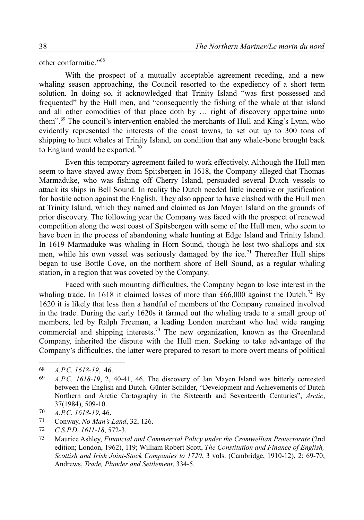other conformitie."[68](#page-15-0)

With the prospect of a mutually acceptable agreement receding, and a new whaling season approaching, the Council resorted to the expediency of a short term solution. In doing so, it acknowledged that Trinity Island "was first possessed and frequented" by the Hull men, and "consequently the fishing of the whale at that island and all other comodities of that place doth by … right of discovery appertaine unto them".[69](#page-15-1) The council's intervention enabled the merchants of Hull and King's Lynn, who evidently represented the interests of the coast towns, to set out up to 300 tons of shipping to hunt whales at Trinity Island, on condition that any whale-bone brought back to England would be exported.<sup>[70](#page-15-2)</sup>

Even this temporary agreement failed to work effectively. Although the Hull men seem to have stayed away from Spitsbergen in 1618, the Company alleged that Thomas Marmaduke, who was fishing off Cherry Island, persuaded several Dutch vessels to attack its ships in Bell Sound. In reality the Dutch needed little incentive or justification for hostile action against the English. They also appear to have clashed with the Hull men at Trinity Island, which they named and claimed as Jan Mayen Island on the grounds of prior discovery. The following year the Company was faced with the prospect of renewed competition along the west coast of Spitsbergen with some of the Hull men, who seem to have been in the process of abandoning whale hunting at Edge Island and Trinity Island. In 1619 Marmaduke was whaling in Horn Sound, though he lost two shallops and six men, while his own vessel was seriously damaged by the ice.<sup>[71](#page-15-3)</sup> Thereafter Hull ships began to use Bottle Cove, on the northern shore of Bell Sound, as a regular whaling station, in a region that was coveted by the Company.

Faced with such mounting difficulties, the Company began to lose interest in the whaling trade. In 1618 it claimed losses of more than £66,000 against the Dutch.<sup>[72](#page-15-4)</sup> By 1620 it is likely that less than a handful of members of the Company remained involved in the trade. During the early 1620s it farmed out the whaling trade to a small group of members, led by Ralph Freeman, a leading London merchant who had wide ranging commercial and shipping interests.<sup>[73](#page-15-5)</sup> The new organization, known as the Greenland Company, inherited the dispute with the Hull men. Seeking to take advantage of the Company's difficulties, the latter were prepared to resort to more overt means of political

<span id="page-15-0"></span><sup>68</sup> *A.P.C. 1618-19*, 46.

<span id="page-15-1"></span><sup>69</sup> *A.P.C. 1618-19*, 2, 40-41, 46. The discovery of Jan Mayen Island was bitterly contested between the English and Dutch. Günter Schilder, "Development and Achievements of Dutch Northern and Arctic Cartography in the Sixteenth and Seventeenth Centuries", *Arctic*, 37(1984), 509-10.

<span id="page-15-2"></span><sup>70</sup> *A.P.C. 1618-19*, 46.

<span id="page-15-3"></span><sup>71</sup> Conway, *No Man's Land*, 32, 126.

<span id="page-15-4"></span><sup>72</sup> *C.S.P.D. 1611-18*, 572-3.

<span id="page-15-5"></span><sup>73</sup> Maurice Ashley, *Financial and Commercial Policy under the Cromwellian Protectorate* (2nd edition; London, 1962), 119; William Robert Scott, *The Constitution and Finance of English, Scottish and Irish Joint-Stock Companies to 1720*, 3 vols. (Cambridge, 1910-12), 2: 69-70; Andrews, *Trade, Plunder and Settlement*, 334-5.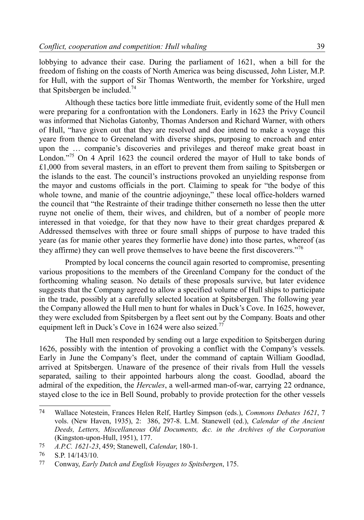lobbying to advance their case. During the parliament of 1621, when a bill for the freedom of fishing on the coasts of North America was being discussed, John Lister, M.P. for Hull, with the support of Sir Thomas Wentworth, the member for Yorkshire, urged that Spitsbergen be included.<sup>[74](#page-16-0)</sup>

Although these tactics bore little immediate fruit, evidently some of the Hull men were preparing for a confrontation with the Londoners. Early in 1623 the Privy Council was informed that Nicholas Gatonby, Thomas Anderson and Richard Warner, with others of Hull, "have given out that they are resolved and doe intend to make a voyage this yeare from thence to Greeneland with diverse shipps, purposing to encroach and enter upon the … companie's discoveries and privileges and thereof make great boast in London."<sup>[75](#page-16-1)</sup> On 4 April 1623 the council ordered the mayor of Hull to take bonds of £1,000 from several masters, in an effort to prevent them from sailing to Spitsbergen or the islands to the east. The council's instructions provoked an unyielding response from the mayor and customs officials in the port. Claiming to speak for "the bodye of this whole towne, and manie of the countrie adjoyninge," these local office-holders warned the council that "the Restrainte of their tradinge thither conserneth no lesse then the utter ruyne not onelie of them, their wives, and children, but of a nomber of people more interessed in that voiedge, for that they now have to their great chardges prepared  $\&$ Addressed themselves with three or foure small shipps of purpose to have traded this yeare (as for manie other yeares they formerlie have done) into those partes, whereof (as they affirme) they can well prove themselves to have beene the first discoverers.<sup>7[76](#page-16-2)</sup>

Prompted by local concerns the council again resorted to compromise, presenting various propositions to the members of the Greenland Company for the conduct of the forthcoming whaling season. No details of these proposals survive, but later evidence suggests that the Company agreed to allow a specified volume of Hull ships to participate in the trade, possibly at a carefully selected location at Spitsbergen. The following year the Company allowed the Hull men to hunt for whales in Duck's Cove. In 1625, however, they were excluded from Spitsbergen by a fleet sent out by the Company. Boats and other equipment left in Duck's Cove in 1624 were also seized.<sup>[77](#page-16-3)</sup>

The Hull men responded by sending out a large expedition to Spitsbergen during 1626, possibly with the intention of provoking a conflict with the Company's vessels. Early in June the Company's fleet, under the command of captain William Goodlad, arrived at Spitsbergen. Unaware of the presence of their rivals from Hull the vessels separated, sailing to their appointed harbours along the coast. Goodlad, aboard the admiral of the expedition, the *Hercules*, a well-armed man-of-war, carrying 22 ordnance, stayed close to the ice in Bell Sound, probably to provide protection for the other vessels

<span id="page-16-0"></span><sup>74</sup> Wallace Notestein, Frances Helen Relf, Hartley Simpson (eds.), *Commons Debates 1621*, 7 vols. (New Haven, 1935), 2: 386, 297-8. L.M. Stanewell (ed.), *Calendar of the Ancient Deeds, Letters, Miscellaneous Old Documents, &c. in the Archives of the Corporation* (Kingston-upon-Hull, 1951), 177.

<span id="page-16-1"></span><sup>75</sup> *A.P.C. 1621-23*, 459; Stanewell, *Calendar*, 180-1.

<span id="page-16-2"></span><sup>76</sup> S.P. 14/143/10.

<span id="page-16-3"></span><sup>77</sup> Conway, *Early Dutch and English Voyages to Spitsbergen*, 175.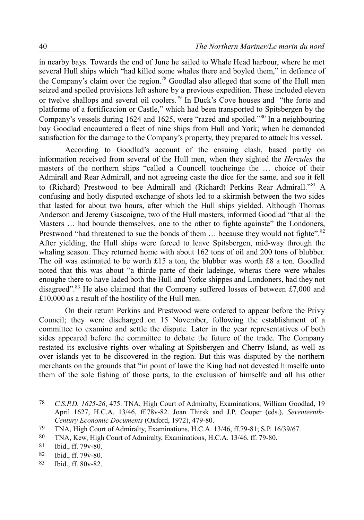in nearby bays. Towards the end of June he sailed to Whale Head harbour, where he met several Hull ships which "had killed some whales there and boyled them," in defiance of the Company's claim over the region.<sup>[78](#page-17-0)</sup> Goodlad also alleged that some of the Hull men seized and spoiled provisions left ashore by a previous expedition. These included eleven or twelve shallops and several oil coolers.[79](#page-17-1) In Duck's Cove houses and "the forte and platforme of a fortificacion or Castle," which had been transported to Spitsbergen by the Company's vessels during 1624 and 1625, were "razed and spoiled."[80](#page-17-2) In a neighbouring bay Goodlad encountered a fleet of nine ships from Hull and York; when he demanded satisfaction for the damage to the Company's property, they prepared to attack his vessel.

According to Goodlad's account of the ensuing clash, based partly on information received from several of the Hull men, when they sighted the *Hercules* the masters of the northern ships "called a Councell toucheinge the … choice of their Admirall and Rear Admirall, and not agreeing caste the dice for the same, and soe it fell to (Richard) Prestwood to bee Admirall and (Richard) Perkins Rear Admirall."[81](#page-17-3) A confusing and hotly disputed exchange of shots led to a skirmish between the two sides that lasted for about two hours, after which the Hull ships yielded. Although Thomas Anderson and Jeremy Gascoigne, two of the Hull masters, informed Goodlad "that all the Masters … had bounde themselves, one to the other to fighte againste" the Londoners, Prestwood "had threatened to sue the bonds of them ... because they would not fighte".<sup>[82](#page-17-4)</sup> After yielding, the Hull ships were forced to leave Spitsbergen, mid-way through the whaling season. They returned home with about 162 tons of oil and 200 tons of blubber. The oil was estimated to be worth £15 a ton, the blubber was worth £8 a ton. Goodlad noted that this was about "a thirde parte of their ladeinge, wheras there were whales enoughe there to have laded both the Hull and Yorke shippes and Londoners, had they not disagreed".<sup>[83](#page-17-5)</sup> He also claimed that the Company suffered losses of between £7,000 and £10,000 as a result of the hostility of the Hull men.

On their return Perkins and Prestwood were ordered to appear before the Privy Council; they were discharged on 15 November, following the establishment of a committee to examine and settle the dispute. Later in the year representatives of both sides appeared before the committee to debate the future of the trade. The Company restated its exclusive rights over whaling at Spitsbergen and Cherry Island, as well as over islands yet to be discovered in the region. But this was disputed by the northern merchants on the grounds that "in point of lawe the King had not devested himselfe unto them of the sole fishing of those parts, to the exclusion of himselfe and all his other

<span id="page-17-0"></span><sup>78</sup> *C.S.P.D. 1625-26*, 475. TNA, High Court of Admiralty, Examinations, William Goodlad, 19 April 1627, H.C.A. 13/46, ff.78v-82. Joan Thirsk and J.P. Cooper (eds.), *Seventeenth-Century Economic Documents* (Oxford, 1972), 479-80.

<span id="page-17-1"></span><sup>79</sup> TNA, High Court of Admiralty, Examinations, H.C.A. 13/46, ff.79-81; S.P. 16/39/67.

<span id="page-17-2"></span><sup>80</sup> TNA, Kew, High Court of Admiralty, Examinations, H.C.A. 13/46, ff. 79-80.

<span id="page-17-3"></span><sup>81</sup> Ibid., ff. 79v-80.

<span id="page-17-4"></span><sup>82</sup> Ibid., ff. 79v-80.

<span id="page-17-5"></span><sup>83</sup> Ibid., ff. 80v-82.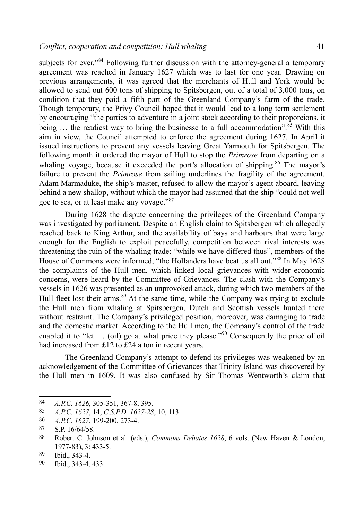subjects for ever."<sup>[84](#page-18-0)</sup> Following further discussion with the attorney-general a temporary agreement was reached in January 1627 which was to last for one year. Drawing on previous arrangements, it was agreed that the merchants of Hull and York would be allowed to send out 600 tons of shipping to Spitsbergen, out of a total of 3,000 tons, on condition that they paid a fifth part of the Greenland Company's farm of the trade. Though temporary, the Privy Council hoped that it would lead to a long term settlement by encouraging "the parties to adventure in a joint stock according to their proporcions, it being  $\ldots$  the readiest way to bring the businesse to a full accommodation".<sup>[85](#page-18-1)</sup> With this aim in view, the Council attempted to enforce the agreement during 1627. In April it issued instructions to prevent any vessels leaving Great Yarmouth for Spitsbergen. The following month it ordered the mayor of Hull to stop the *Primrose* from departing on a whaling voyage, because it exceeded the port's allocation of shipping.<sup>[86](#page-18-2)</sup> The mayor's failure to prevent the *Primrose* from sailing underlines the fragility of the agreement. Adam Marmaduke, the ship's master, refused to allow the mayor's agent aboard, leaving behind a new shallop, without which the mayor had assumed that the ship "could not well goe to sea, or at least make any voyage."[87](#page-18-3)

During 1628 the dispute concerning the privileges of the Greenland Company was investigated by parliament. Despite an English claim to Spitsbergen which allegedly reached back to King Arthur, and the availability of bays and harbours that were large enough for the English to exploit peacefully, competition between rival interests was threatening the ruin of the whaling trade: "while we have differed thus", members of the House of Commons were informed, "the Hollanders have beat us all out."<sup>[88](#page-18-4)</sup> In May 1628 the complaints of the Hull men, which linked local grievances with wider economic concerns, were heard by the Committee of Grievances. The clash with the Company's vessels in 1626 was presented as an unprovoked attack, during which two members of the Hull fleet lost their arms.<sup>[89](#page-18-5)</sup> At the same time, while the Company was trying to exclude the Hull men from whaling at Spitsbergen, Dutch and Scottish vessels hunted there without restraint. The Company's privileged position, moreover, was damaging to trade and the domestic market. According to the Hull men, the Company's control of the trade enabled it to "let ... (oil) go at what price they please."<sup>[90](#page-18-6)</sup> Consequently the price of oil had increased from £12 to £24 a ton in recent years.

The Greenland Company's attempt to defend its privileges was weakened by an acknowledgement of the Committee of Grievances that Trinity Island was discovered by the Hull men in 1609. It was also confused by Sir Thomas Wentworth's claim that

<span id="page-18-0"></span><sup>84</sup> *A.P.C. 1626*, 305-351, 367-8, 395.

<span id="page-18-1"></span><sup>85</sup> *A.P.C. 1627*, 14; *C.S.P.D. 1627-28*, 10, 113.

<span id="page-18-2"></span><sup>86</sup> *A.P.C. 1627*, 199-200, 273-4.

<span id="page-18-3"></span><sup>87</sup> S.P. 16/64/58.

<span id="page-18-4"></span><sup>88</sup> Robert C. Johnson et al. (eds.), *Commons Debates 1628*, 6 vols. (New Haven & London, 1977-83), 3: 433-5.

<span id="page-18-5"></span><sup>89</sup> Ibid., 343-4.

<span id="page-18-6"></span><sup>90</sup> Ibid., 343-4, 433.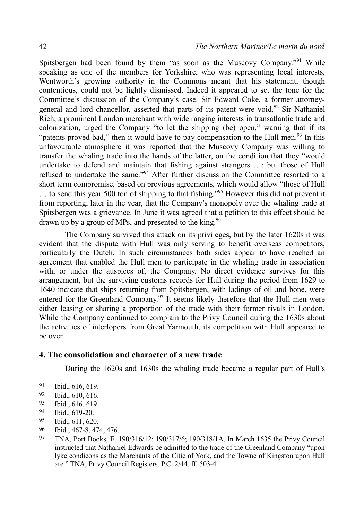Spitsbergen had been found by them "as soon as the Muscovy Company."<sup>[91](#page-19-0)</sup> While speaking as one of the members for Yorkshire, who was representing local interests, Wentworth's growing authority in the Commons meant that his statement, though contentious, could not be lightly dismissed. Indeed it appeared to set the tone for the Committee's discussion of the Company's case. Sir Edward Coke, a former attorney-general and lord chancellor, asserted that parts of its patent were void.<sup>[92](#page-19-1)</sup> Sir Nathaniel Rich, a prominent London merchant with wide ranging interests in transatlantic trade and colonization, urged the Company "to let the shipping (be) open," warning that if its "patents proved bad," then it would have to pay compensation to the Hull men.<sup>[93](#page-19-2)</sup> In this unfavourable atmosphere it was reported that the Muscovy Company was willing to transfer the whaling trade into the hands of the latter, on the condition that they "would undertake to defend and maintain that fishing against strangers …; but those of Hull refused to undertake the same."[94](#page-19-3) After further discussion the Committee resorted to a short term compromise, based on previous agreements, which would allow "those of Hull … to send this year 500 ton of shipping to that fishing."[95](#page-19-4) However this did not prevent it from reporting, later in the year, that the Company's monopoly over the whaling trade at Spitsbergen was a grievance. In June it was agreed that a petition to this effect should be drawn up by a group of MPs, and presented to the king.<sup>[96](#page-19-5)</sup>

The Company survived this attack on its privileges, but by the later 1620s it was evident that the dispute with Hull was only serving to benefit overseas competitors, particularly the Dutch. In such circumstances both sides appear to have reached an agreement that enabled the Hull men to participate in the whaling trade in association with, or under the auspices of, the Company. No direct evidence survives for this arrangement, but the surviving customs records for Hull during the period from 1629 to 1640 indicate that ships returning from Spitsbergen, with ladings of oil and bone, were entered for the Greenland Company.<sup>[97](#page-19-6)</sup> It seems likely therefore that the Hull men were either leasing or sharing a proportion of the trade with their former rivals in London. While the Company continued to complain to the Privy Council during the 1630s about the activities of interlopers from Great Yarmouth, its competition with Hull appeared to be over.

# **4. The consolidation and character of a new trade**

During the 1620s and 1630s the whaling trade became a regular part of Hull's

- <span id="page-19-4"></span>95 Ibid., 611, 620.
- <span id="page-19-5"></span>96 Ibid., 467-8, 474, 476.
- <span id="page-19-6"></span>97 TNA, Port Books, E. 190/316/12; 190/317/6; 190/318/1A. In March 1635 the Privy Council instructed that Nathaniel Edwards be admitted to the trade of the Greenland Company "upon lyke condicons as the Marchants of the Citie of York, and the Towne of Kingston upon Hull are." TNA, Privy Council Registers, P.C. 2/44, ff. 503-4.

<span id="page-19-0"></span><sup>91</sup> Ibid., 616, 619.

<span id="page-19-1"></span><sup>92</sup> Ibid., 610, 616.

<span id="page-19-2"></span><sup>93</sup> Ibid., 616, 619.

<span id="page-19-3"></span><sup>94</sup> Ibid., 619-20.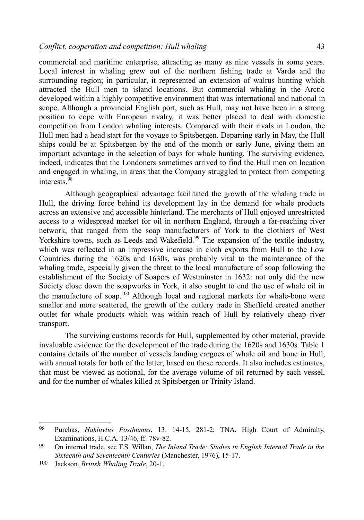commercial and maritime enterprise, attracting as many as nine vessels in some years. Local interest in whaling grew out of the northern fishing trade at Vardø and the surrounding region; in particular, it represented an extension of walrus hunting which attracted the Hull men to island locations. But commercial whaling in the Arctic developed within a highly competitive environment that was international and national in scope. Although a provincial English port, such as Hull, may not have been in a strong position to cope with European rivalry, it was better placed to deal with domestic competition from London whaling interests. Compared with their rivals in London, the Hull men had a head start for the voyage to Spitsbergen. Departing early in May, the Hull ships could be at Spitsbergen by the end of the month or early June, giving them an important advantage in the selection of bays for whale hunting. The surviving evidence, indeed, indicates that the Londoners sometimes arrived to find the Hull men on location and engaged in whaling, in areas that the Company struggled to protect from competing interests.[98](#page-20-0)

Although geographical advantage facilitated the growth of the whaling trade in Hull, the driving force behind its development lay in the demand for whale products across an extensive and accessible hinterland. The merchants of Hull enjoyed unrestricted access to a widespread market for oil in northern England, through a far-reaching river network, that ranged from the soap manufacturers of York to the clothiers of West Yorkshire towns, such as Leeds and Wakefield.<sup>[99](#page-20-1)</sup> The expansion of the textile industry, which was reflected in an impressive increase in cloth exports from Hull to the Low Countries during the 1620s and 1630s, was probably vital to the maintenance of the whaling trade, especially given the threat to the local manufacture of soap following the establishment of the Society of Soapers of Westminster in 1632: not only did the new Society close down the soapworks in York, it also sought to end the use of whale oil in the manufacture of soap.<sup>[100](#page-20-2)</sup> Although local and regional markets for whale-bone were smaller and more scattered, the growth of the cutlery trade in Sheffield created another outlet for whale products which was within reach of Hull by relatively cheap river transport.

The surviving customs records for Hull, supplemented by other material, provide invaluable evidence for the development of the trade during the 1620s and 1630s. Table 1 contains details of the number of vessels landing cargoes of whale oil and bone in Hull, with annual totals for both of the latter, based on these records. It also includes estimates, that must be viewed as notional, for the average volume of oil returned by each vessel, and for the number of whales killed at Spitsbergen or Trinity Island.

<span id="page-20-0"></span><sup>98</sup> Purchas, *Hakluytus Posthumus*, 13: 14-15, 281-2; TNA, High Court of Admiralty, Examinations, H.C.A. 13/46, ff. 78v-82.

<span id="page-20-1"></span><sup>99</sup> On internal trade, see T.S. Willan, *The Inland Trade: Studies in English Internal Trade in the Sixteenth and Seventeenth Centuries* (Manchester, 1976), 15-17.

<span id="page-20-2"></span><sup>100</sup> Jackson, *British Whaling Trade*, 20-1.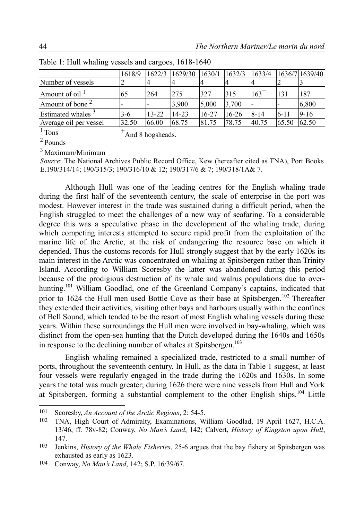|                               | 1618/9 | 1622/3                   | 1629/30   | 1630/1 | 1632/3    | 1633/4             |                          | 1636/7 1639/40 |
|-------------------------------|--------|--------------------------|-----------|--------|-----------|--------------------|--------------------------|----------------|
| Number of vessels             |        | 4                        |           | 4      |           |                    |                          |                |
| Amount of oil $\frac{1}{1}$   | 65     | 264                      | 275       | 327    | 315       | $163$ <sup>+</sup> | 131                      | 187            |
| Amount of bone <sup>2</sup>   |        | $\overline{\phantom{a}}$ | 3,900     | 5,000  | 3,700     |                    | $\overline{\phantom{0}}$ | 6,800          |
| Estimated whales <sup>3</sup> | $3-6$  | $13 - 22$                | $14 - 23$ | 16-27  | $16 - 26$ | $8 - 14$           | $6 - 11$                 | $9 - 16$       |
| Average oil per vessel        | 32.50  | 66.00                    | 68.75     | 81.75  | 78.75     | 40.75              | 65.50                    | 62.50          |

Table 1: Hull whaling vessels and cargoes, 1618-1640

 $1$  Tons  $+A$ nd 8 hogsheads.

<sup>2</sup>Pounds

 $3$  Maximum/Minimum

*Source*: The National Archives Public Record Office, Kew (hereafter cited as TNA), Port Books E.190/314/14; 190/315/3; 190/316/10 & 12; 190/317/6 & 7; 190/318/1A& 7.

Although Hull was one of the leading centres for the English whaling trade during the first half of the seventeenth century, the scale of enterprise in the port was modest. However interest in the trade was sustained during a difficult period, when the English struggled to meet the challenges of a new way of seafaring. To a considerable degree this was a speculative phase in the development of the whaling trade, during which competing interests attempted to secure rapid profit from the exploitation of the marine life of the Arctic, at the risk of endangering the resource base on which it depended. Thus the customs records for Hull strongly suggest that by the early 1620s its main interest in the Arctic was concentrated on whaling at Spitsbergen rather than Trinity Island. According to William Scoresby the latter was abandoned during this period because of the prodigious destruction of its whale and walrus populations due to over-hunting.<sup>[101](#page-21-0)</sup> William Goodlad, one of the Greenland Company's captains, indicated that prior to 1624 the Hull men used Bottle Cove as their base at Spitsbergen.<sup>[102](#page-21-1)</sup> Thereafter they extended their activities, visiting other bays and harbours usually within the confines of Bell Sound, which tended to be the resort of most English whaling vessels during these years. Within these surroundings the Hull men were involved in bay-whaling, which was distinct from the open-sea hunting that the Dutch developed during the 1640s and 1650s in response to the declining number of whales at Spitsbergen.<sup>[103](#page-21-2)</sup>

English whaling remained a specialized trade, restricted to a small number of ports, throughout the seventeenth century. In Hull, as the data in Table 1 suggest, at least four vessels were regularly engaged in the trade during the 1620s and 1630s. In some years the total was much greater; during 1626 there were nine vessels from Hull and York at Spitsbergen, forming a substantial complement to the other English ships.[104](#page-21-3) Little

<span id="page-21-0"></span><sup>101</sup> Scoresby, *An Account of the Arctic Regions*, 2: 54-5.<br>102 TNA High Court of Admiralty Examinations Wi

<span id="page-21-1"></span><sup>102</sup> TNA, High Court of Admiralty, Examinations, William Goodlad, 19 April 1627, H.C.A. 13/46, ff. 78v-82; Conway, *No Man's Land*, 142; Calvert, *History of Kingston upon Hull*, 147.

<span id="page-21-2"></span><sup>103</sup> Jenkins, *History of the Whale Fisheries*, 25-6 argues that the bay fishery at Spitsbergen was exhausted as early as 1623.

<span id="page-21-3"></span><sup>104</sup> Conway, *No Man's Land*, 142; S.P. 16/39/67.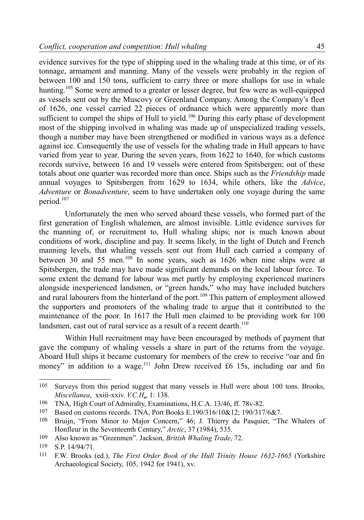evidence survives for the type of shipping used in the whaling trade at this time, or of its tonnage, armament and manning. Many of the vessels were probably in the region of between 100 and 150 tons, sufficient to carry three or more shallops for use in whale hunting.<sup>[105](#page-22-0)</sup> Some were armed to a greater or lesser degree, but few were as well-equipped as vessels sent out by the Muscovy or Greenland Company. Among the Company's fleet of 1626, one vessel carried 22 pieces of ordnance which were apparently more than sufficient to compel the ships of Hull to yield.<sup>[106](#page-22-1)</sup> During this early phase of development most of the shipping involved in whaling was made up of unspecialized trading vessels, though a number may have been strengthened or modified in various ways as a defence against ice. Consequently the use of vessels for the whaling trade in Hull appears to have varied from year to year. During the seven years, from 1622 to 1640, for which customs records survive, between 16 and 19 vessels were entered from Spitsbergen; out of these totals about one quarter was recorded more than once. Ships such as the *Friendship* made annual voyages to Spitsbergen from 1629 to 1634, while others, like the *Advice*, *Adventure* or *Bonadventure*, seem to have undertaken only one voyage during the same period.<sup>[107](#page-22-2)</sup>

Unfortunately the men who served aboard these vessels, who formed part of the first generation of English whalemen, are almost invisible. Little evidence survives for the manning of, or recruitment to, Hull whaling ships; nor is much known about conditions of work, discipline and pay. It seems likely, in the light of Dutch and French manning levels, that whaling vessels sent out from Hull each carried a company of between 30 and 55 men.<sup>[108](#page-22-3)</sup> In some years, such as 1626 when nine ships were at Spitsbergen, the trade may have made significant demands on the local labour force. To some extent the demand for labour was met partly by employing experienced mariners alongside inexperienced landsmen, or "green hands," who may have included butchers and rural labourers from the hinterland of the port.<sup>[109](#page-22-4)</sup> This pattern of employment allowed the supporters and promoters of the whaling trade to argue that it contributed to the maintenance of the poor. In 1617 the Hull men claimed to be providing work for 100 landsmen, cast out of rural service as a result of a recent dearth.<sup>[110](#page-22-5)</sup>

Within Hull recruitment may have been encouraged by methods of payment that gave the company of whaling vessels a share in part of the returns from the voyage. Aboard Hull ships it became customary for members of the crew to receive "oar and fin money" in addition to a wage.<sup>[111](#page-22-6)</sup> John Drew received  $£6$  15s, including oar and fin

<span id="page-22-0"></span><sup>105</sup> Surveys from this period suggest that many vessels in Hull were about 100 tons. Brooks, *Miscellanea*, xxiii-xxiv. *V.C.H*., 1: 138.

<span id="page-22-1"></span><sup>106</sup> TNA, High Court of Admiralty, Examinations, H.C.A. 13/46, ff. 78v-82.

<span id="page-22-2"></span><sup>107</sup> Based on customs records. TNA, Port Books E.190/316/10&12; 190/317/6&7.

<span id="page-22-3"></span><sup>108</sup> Bruijn, "From Minor to Major Concern," 46; J. Thierry du Pasquier, "The Whalers of Honfleur in the Seventeenth Century," *Arctic*, 37 (1984), 535.

<span id="page-22-4"></span><sup>109</sup> Also known as "Greenmen". Jackson, *British Whaling Trade*, 72.

<span id="page-22-5"></span><sup>110</sup> S.P. 14/94/71.

<span id="page-22-6"></span><sup>111</sup> F.W. Brooks (ed.), *The First Order Book of the Hull Trinity House 1632-1665* (Yorkshire Archaeological Society, 105, 1942 for 1941), xv.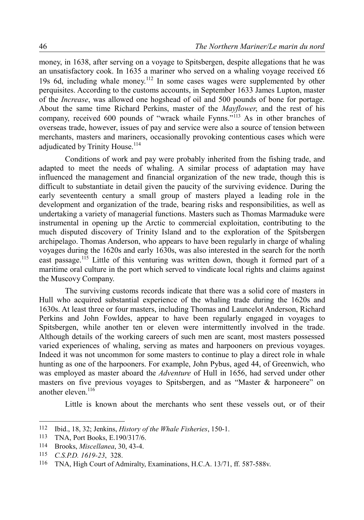money, in 1638, after serving on a voyage to Spitsbergen, despite allegations that he was an unsatisfactory cook. In 1635 a mariner who served on a whaling voyage received £6 19s 6d, including whale money.[112](#page-23-0) In some cases wages were supplemented by other perquisites. According to the customs accounts, in September 1633 James Lupton, master of the *Increase*, was allowed one hogshead of oil and 500 pounds of bone for portage. About the same time Richard Perkins, master of the *Mayflower*, and the rest of his company, received 600 pounds of "wrack whaile Fynns."<sup>[113](#page-23-1)</sup> As in other branches of overseas trade, however, issues of pay and service were also a source of tension between merchants, masters and mariners, occasionally provoking contentious cases which were adjudicated by Trinity House.<sup>[114](#page-23-2)</sup>

Conditions of work and pay were probably inherited from the fishing trade, and adapted to meet the needs of whaling. A similar process of adaptation may have influenced the management and financial organization of the new trade, though this is difficult to substantiate in detail given the paucity of the surviving evidence. During the early seventeenth century a small group of masters played a leading role in the development and organization of the trade, bearing risks and responsibilities, as well as undertaking a variety of managerial functions. Masters such as Thomas Marmaduke were instrumental in opening up the Arctic to commercial exploitation, contributing to the much disputed discovery of Trinity Island and to the exploration of the Spitsbergen archipelago. Thomas Anderson, who appears to have been regularly in charge of whaling voyages during the 1620s and early 1630s, was also interested in the search for the north east passage.<sup>[115](#page-23-3)</sup> Little of this venturing was written down, though it formed part of a maritime oral culture in the port which served to vindicate local rights and claims against the Muscovy Company.

The surviving customs records indicate that there was a solid core of masters in Hull who acquired substantial experience of the whaling trade during the 1620s and 1630s. At least three or four masters, including Thomas and Launcelot Anderson, Richard Perkins and John Fowldes, appear to have been regularly engaged in voyages to Spitsbergen, while another ten or eleven were intermittently involved in the trade. Although details of the working careers of such men are scant, most masters possessed varied experiences of whaling, serving as mates and harpooners on previous voyages. Indeed it was not uncommon for some masters to continue to play a direct role in whale hunting as one of the harpooners. For example, John Pybus, aged 44, of Greenwich, who was employed as master aboard the *Adventure* of Hull in 1656, had served under other masters on five previous voyages to Spitsbergen, and as "Master & harponeere" on another eleven.<sup>[116](#page-23-4)</sup>

Little is known about the merchants who sent these vessels out, or of their

<span id="page-23-0"></span><sup>112</sup> Ibid., 18, 32; Jenkins, *History of the Whale Fisheries*, 150-1.

<span id="page-23-1"></span><sup>113</sup> TNA, Port Books, E.190/317/6.

<span id="page-23-2"></span><sup>114</sup> Brooks, *Miscellanea*, 30, 43-4.

<span id="page-23-3"></span><sup>115</sup> *C.S.P.D. 1619-23*, 328.

<span id="page-23-4"></span><sup>116</sup> TNA, High Court of Admiralty, Examinations, H.C.A. 13/71, ff. 587-588v.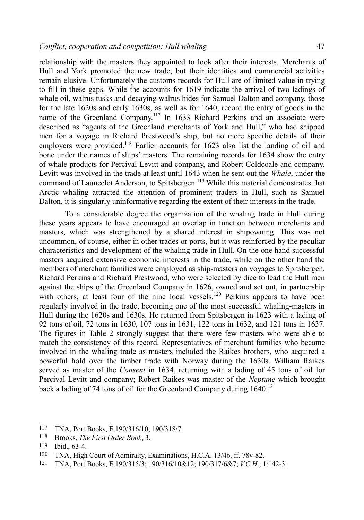relationship with the masters they appointed to look after their interests. Merchants of Hull and York promoted the new trade, but their identities and commercial activities remain elusive. Unfortunately the customs records for Hull are of limited value in trying to fill in these gaps. While the accounts for 1619 indicate the arrival of two ladings of whale oil, walrus tusks and decaying walrus hides for Samuel Dalton and company, those for the late 1620s and early 1630s, as well as for 1640, record the entry of goods in the name of the Greenland Company.[117](#page-24-0) In 1633 Richard Perkins and an associate were described as "agents of the Greenland merchants of York and Hull," who had shipped men for a voyage in Richard Prestwood's ship, but no more specific details of their employers were provided.<sup>[118](#page-24-1)</sup> Earlier accounts for 1623 also list the landing of oil and bone under the names of ships' masters. The remaining records for 1634 show the entry of whale products for Percival Levitt and company, and Robert Coldcoale and company. Levitt was involved in the trade at least until 1643 when he sent out the *Whale*, under the command of Launcelot Anderson, to Spitsbergen.<sup>[119](#page-24-2)</sup> While this material demonstrates that Arctic whaling attracted the attention of prominent traders in Hull, such as Samuel Dalton, it is singularly uninformative regarding the extent of their interests in the trade.

To a considerable degree the organization of the whaling trade in Hull during these years appears to have encouraged an overlap in function between merchants and masters, which was strengthened by a shared interest in shipowning. This was not uncommon, of course, either in other trades or ports, but it was reinforced by the peculiar characteristics and development of the whaling trade in Hull. On the one hand successful masters acquired extensive economic interests in the trade, while on the other hand the members of merchant families were employed as ship-masters on voyages to Spitsbergen. Richard Perkins and Richard Prestwood, who were selected by dice to lead the Hull men against the ships of the Greenland Company in 1626, owned and set out, in partnership with others, at least four of the nine local vessels.<sup>[120](#page-24-3)</sup> Perkins appears to have been regularly involved in the trade, becoming one of the most successful whaling-masters in Hull during the 1620s and 1630s. He returned from Spitsbergen in 1623 with a lading of 92 tons of oil, 72 tons in 1630, 107 tons in 1631, 122 tons in 1632, and 121 tons in 1637. The figures in Table 2 strongly suggest that there were few masters who were able to match the consistency of this record. Representatives of merchant families who became involved in the whaling trade as masters included the Raikes brothers, who acquired a powerful hold over the timber trade with Norway during the 1630s. William Raikes served as master of the *Consent* in 1634, returning with a lading of 45 tons of oil for Percival Levitt and company; Robert Raikes was master of the *Neptune* which brought back a lading of 74 tons of oil for the Greenland Company during  $1640$ .<sup>[121](#page-24-4)</sup>

<span id="page-24-0"></span><sup>117</sup> TNA, Port Books, E.190/316/10; 190/318/7.

<span id="page-24-1"></span><sup>118</sup> Brooks, *The First Order Book*, 3.

<span id="page-24-2"></span><sup>119</sup> Ibid., 63-4.

<span id="page-24-3"></span><sup>120</sup> TNA, High Court of Admiralty, Examinations, H.C.A. 13/46, ff. 78v-82.

<span id="page-24-4"></span><sup>121</sup> TNA, Port Books, E.190/315/3; 190/316/10&12; 190/317/6&7; *V.C.H*., 1:142-3.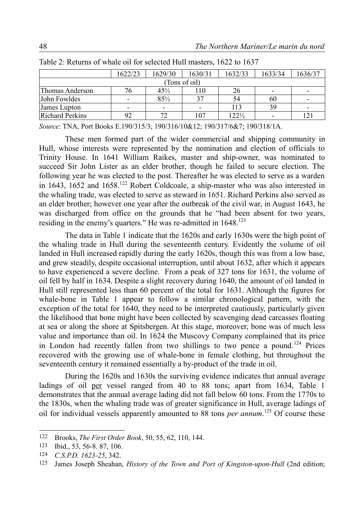|                        | 1622/23                  | 1629/30                  | 1630/31 | 1632/33          | 1633/34 | 1636/37                  |  |
|------------------------|--------------------------|--------------------------|---------|------------------|---------|--------------------------|--|
| (Tons of oil)          |                          |                          |         |                  |         |                          |  |
| Thomas Anderson        | 76                       | $45\frac{1}{2}$          | 110     | 26               |         |                          |  |
| John Fowldes           | -                        | $85\frac{1}{2}$          | 37      | 54               | 60      | $\overline{\phantom{a}}$ |  |
| James Lupton           | $\overline{\phantom{0}}$ | $\overline{\phantom{0}}$ |         | 113              | 39      | $\,$                     |  |
| <b>Richard Perkins</b> | 92                       | 72                       | 107     | $122\frac{1}{2}$ |         | 121                      |  |

| Table 2: Returns of whale oil for selected Hull masters, 1622 to 1637 |  |  |  |
|-----------------------------------------------------------------------|--|--|--|
|-----------------------------------------------------------------------|--|--|--|

*Source*: TNA, Port Books E.190/315/3; 190/316/10&12; 190/317/6&7; 190/318/1A.

These men formed part of the wider commercial and shipping community in Hull, whose interests were represented by the nomination and election of officials to Trinity House. In 1641 William Raikes, master and ship-owner, was nominated to succeed Sir John Lister as an elder brother, though he failed to secure election. The following year he was elected to the post. Thereafter he was elected to serve as a warden in 1643, 1652 and  $1658$ <sup>[122](#page-25-0)</sup> Robert Coldcoale, a ship-master who was also interested in the whaling trade, was elected to serve as steward in 1651. Richard Perkins also served as an elder brother; however one year after the outbreak of the civil war, in August 1643, he was discharged from office on the grounds that he "had been absent for two years, residing in the enemy's quarters." He was re-admitted in 1648.<sup>[123](#page-25-1)</sup>

The data in Table 1 indicate that the 1620s and early 1630s were the high point of the whaling trade in Hull during the seventeenth century. Evidently the volume of oil landed in Hull increased rapidly during the early 1620s, though this was from a low base, and grew steadily, despite occasional interruption, until about 1632, after which it appears to have experienced a severe decline. From a peak of 327 tons for 1631, the volume of oil fell by half in 1634. Despite a slight recovery during 1640, the amount of oil landed in Hull still represented less than 60 percent of the total for 1631. Although the figures for whale-bone in Table 1 appear to follow a similar chronological pattern, with the exception of the total for 1640, they need to be interpreted cautiously, particularly given the likelihood that bone might have been collected by scavenging dead carcasses floating at sea or along the shore at Spitsbergen. At this stage, moreover, bone was of much less value and importance than oil. In 1624 the Muscovy Company complained that its price in London had recently fallen from two shillings to two pence a pound.<sup>[124](#page-25-2)</sup> Prices recovered with the growing use of whale-bone in female clothing, but throughout the seventeenth century it remained essentially a by-product of the trade in oil.

During the 1620s and 1630s the surviving evidence indicates that annual average ladings of oil per vessel ranged from 40 to 88 tons; apart from 1634, Table 1 demonstrates that the annual average lading did not fall below 60 tons. From the 1770s to the 1830s, when the whaling trade was of greater significance in Hull, average ladings of oil for individual vessels apparently amounted to 88 tons *per annum*. [125](#page-25-3) Of course these

<span id="page-25-0"></span><sup>122</sup> Brooks, *The First Order Book*, 50, 55, 62, 110, 144.

<span id="page-25-1"></span><sup>123</sup> Ibid., 53, 56-8. 87, 106.

<span id="page-25-2"></span><sup>124</sup> *C.S.P.D. 1623-25*, 342.

<span id="page-25-3"></span><sup>125</sup> James Joseph Sheahan, *History of the Town and Port of Kingston-upon-Hull* (2nd edition;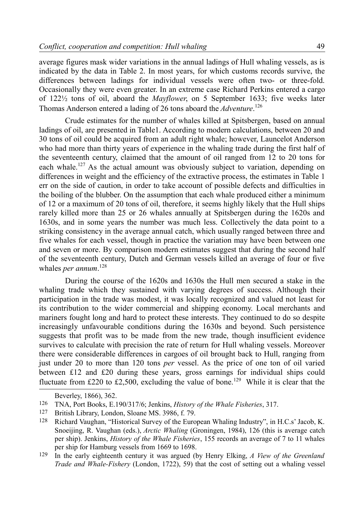average figures mask wider variations in the annual ladings of Hull whaling vessels, as is indicated by the data in Table 2. In most years, for which customs records survive, the differences between ladings for individual vessels were often two- or three-fold. Occasionally they were even greater. In an extreme case Richard Perkins entered a cargo of 122½ tons of oil, aboard the *Mayflower*, on 5 September 1633; five weeks later Thomas Anderson entered a lading of 26 tons aboard the *Adventure*. [126](#page-26-0)

Crude estimates for the number of whales killed at Spitsbergen, based on annual ladings of oil, are presented in Table1. According to modern calculations, between 20 and 30 tons of oil could be acquired from an adult right whale; however, Launcelot Anderson who had more than thirty years of experience in the whaling trade during the first half of the seventeenth century, claimed that the amount of oil ranged from 12 to 20 tons for each whale.<sup>[127](#page-26-1)</sup> As the actual amount was obviously subject to variation, depending on differences in weight and the efficiency of the extractive process, the estimates in Table 1 err on the side of caution, in order to take account of possible defects and difficulties in the boiling of the blubber. On the assumption that each whale produced either a minimum of 12 or a maximum of 20 tons of oil, therefore, it seems highly likely that the Hull ships rarely killed more than 25 or 26 whales annually at Spitsbergen during the 1620s and 1630s, and in some years the number was much less. Collectively the data point to a striking consistency in the average annual catch, which usually ranged between three and five whales for each vessel, though in practice the variation may have been between one and seven or more. By comparison modern estimates suggest that during the second half of the seventeenth century, Dutch and German vessels killed an average of four or five whales *per annum*. [128](#page-26-2)

During the course of the 1620s and 1630s the Hull men secured a stake in the whaling trade which they sustained with varying degrees of success. Although their participation in the trade was modest, it was locally recognized and valued not least for its contribution to the wider commercial and shipping economy. Local merchants and mariners fought long and hard to protect these interests. They continued to do so despite increasingly unfavourable conditions during the 1630s and beyond. Such persistence suggests that profit was to be made from the new trade, though insufficient evidence survives to calculate with precision the rate of return for Hull whaling vessels. Moreover there were considerable differences in cargoes of oil brought back to Hull, ranging from just under 20 to more than 120 tons *per* vessel. As the price of one ton of oil varied between £12 and £20 during these years, gross earnings for individual ships could fluctuate from £220 to £2,500, excluding the value of bone.<sup>[129](#page-26-3)</sup> While it is clear that the

<span id="page-26-0"></span>Beverley, 1866), 362.

<sup>126</sup> TNA, Port Books, E.190/317/6; Jenkins, *History of the Whale Fisheries*, 317.

<span id="page-26-1"></span><sup>127</sup> British Library, London, Sloane MS. 3986, f. 79.

<span id="page-26-2"></span><sup>128</sup> Richard Vaughan, "Historical Survey of the European Whaling Industry", in H.C.s' Jacob, K. Snoeijing, R. Vaughan (eds.), *Arctic Whaling* (Groningen, 1984), 126 (this is average catch per ship). Jenkins, *History of the Whale Fisheries*, 155 records an average of 7 to 11 whales per ship for Hamburg vessels from 1669 to 1698.

<span id="page-26-3"></span><sup>129</sup> In the early eighteenth century it was argued (by Henry Elking, *A View of the Greenland Trade and Whale-Fishery* (London, 1722), 59) that the cost of setting out a whaling vessel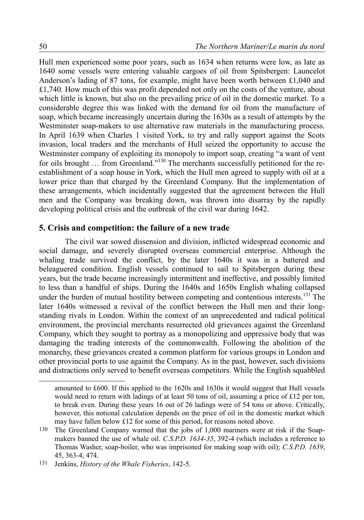Hull men experienced some poor years, such as 1634 when returns were low, as late as 1640 some vessels were entering valuable cargoes of oil from Spitsbergen: Launcelot Anderson's lading of 87 tons, for example, might have been worth between £1,040 and £1,740. How much of this was profit depended not only on the costs of the venture, about which little is known, but also on the prevailing price of oil in the domestic market. To a considerable degree this was linked with the demand for oil from the manufacture of soap, which became increasingly uncertain during the 1630s as a result of attempts by the Westminster soap-makers to use alternative raw materials in the manufacturing process. In April 1639 when Charles 1 visited York, to try and rally support against the Scots invasion, local traders and the merchants of Hull seized the opportunity to accuse the Westminster company of exploiting its monopoly to import soap, creating "a want of vent for oils brought ... from Greenland."<sup>[130](#page-27-0)</sup> The merchants successfully petitioned for the reestablishment of a soap house in York, which the Hull men agreed to supply with oil at a lower price than that charged by the Greenland Company. But the implementation of these arrangements, which incidentally suggested that the agreement between the Hull men and the Company was breaking down, was thrown into disarray by the rapidly developing political crisis and the outbreak of the civil war during 1642.

#### **5. Crisis and competition: the failure of a new trade**

The civil war sowed dissension and division, inflicted widespread economic and social damage, and severely disrupted overseas commercial enterprise. Although the whaling trade survived the conflict, by the later 1640s it was in a battered and beleaguered condition. English vessels continued to sail to Spitsbergen during these years, but the trade became increasingly intermittent and ineffective, and possibly limited to less than a handful of ships. During the 1640s and 1650s English whaling collapsed under the burden of mutual hostility between competing and contentious interests.<sup>[131](#page-27-1)</sup> The later 1640s witnessed a revival of the conflict between the Hull men and their longstanding rivals in London. Within the context of an unprecedented and radical political environment, the provincial merchants resurrected old grievances against the Greenland Company, which they sought to portray as a monopolizing and oppressive body that was damaging the trading interests of the commonwealth. Following the abolition of the monarchy, these grievances created a common platform for various groups in London and other provincial ports to use against the Company. As in the past, however, such divisions and distractions only served to benefit overseas competitors. While the English squabbled

amounted to £600. If this applied to the 1620s and 1630s it would suggest that Hull vessels would need to return with ladings of at least 50 tons of oil, assuming a price of £12 per ton, to break even. During these years 16 out of 26 ladings were of 54 tons or above. Critically, however, this notional calculation depends on the price of oil in the domestic market which may have fallen below £12 for some of this period, for reasons noted above.

<span id="page-27-0"></span><sup>130</sup> The Greenland Company warned that the jobs of 1,000 mariners were at risk if the Soapmakers banned the use of whale oil. *C.S.P.D. 1634-35*, 392-4 (which includes a reference to Thomas Washer, soap-boiler, who was imprisoned for making soap with oil); *C.S.P.D. 1639*, 45, 363-4, 474.

<span id="page-27-1"></span><sup>131</sup> Jenkins, *History of the Whale Fisheries*, 142-5.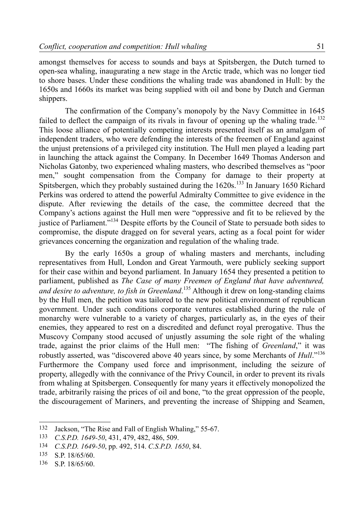amongst themselves for access to sounds and bays at Spitsbergen, the Dutch turned to open-sea whaling, inaugurating a new stage in the Arctic trade, which was no longer tied to shore bases. Under these conditions the whaling trade was abandoned in Hull: by the 1650s and 1660s its market was being supplied with oil and bone by Dutch and German shippers.

The confirmation of the Company's monopoly by the Navy Committee in 1645 failed to deflect the campaign of its rivals in favour of opening up the whaling trade.<sup>[132](#page-28-0)</sup> This loose alliance of potentially competing interests presented itself as an amalgam of independent traders, who were defending the interests of the freemen of England against the unjust pretensions of a privileged city institution. The Hull men played a leading part in launching the attack against the Company. In December 1649 Thomas Anderson and Nicholas Gatonby, two experienced whaling masters, who described themselves as "poor men," sought compensation from the Company for damage to their property at Spitsbergen, which they probably sustained during the  $1620s$ <sup>[133](#page-28-1)</sup> In January 1650 Richard Perkins was ordered to attend the powerful Admiralty Committee to give evidence in the dispute. After reviewing the details of the case, the committee decreed that the Company's actions against the Hull men were "oppressive and fit to be relieved by the justice of Parliament.<sup>"[134](#page-28-2)</sup> Despite efforts by the Council of State to persuade both sides to compromise, the dispute dragged on for several years, acting as a focal point for wider grievances concerning the organization and regulation of the whaling trade.

By the early 1650s a group of whaling masters and merchants, including representatives from Hull, London and Great Yarmouth, were publicly seeking support for their case within and beyond parliament. In January 1654 they presented a petition to parliament, published as *The Case of many Freemen of England that have adventured, and desire to adventure, to fish in Greenland*. [135](#page-28-3) Although it drew on long-standing claims by the Hull men, the petition was tailored to the new political environment of republican government. Under such conditions corporate ventures established during the rule of monarchy were vulnerable to a variety of charges, particularly as, in the eyes of their enemies, they appeared to rest on a discredited and defunct royal prerogative. Thus the Muscovy Company stood accused of unjustly assuming the sole right of the whaling trade, against the prior claims of the Hull men: "The fishing of *Greenland*," it was robustly asserted, was "discovered above 40 years since, by some Merchants of *Hull*."[136](#page-28-4) Furthermore the Company used force and imprisonment, including the seizure of property, allegedly with the connivance of the Privy Council, in order to prevent its rivals from whaling at Spitsbergen. Consequently for many years it effectively monopolized the trade, arbitrarily raising the prices of oil and bone, "to the great oppression of the people, the discouragement of Mariners, and preventing the increase of Shipping and Seamen,

<span id="page-28-0"></span><sup>132</sup> Jackson, "The Rise and Fall of English Whaling," 55-67.

<span id="page-28-1"></span><sup>133</sup> *C.S.P.D. 1649-50*, 431, 479, 482, 486, 509.

<span id="page-28-2"></span><sup>134</sup> *C.S.P.D. 1649-50*, pp. 492, 514. *C.S.P.D. 1650*, 84.

<span id="page-28-3"></span><sup>135</sup> S.P. 18/65/60.

<span id="page-28-4"></span><sup>136</sup> S.P. 18/65/60.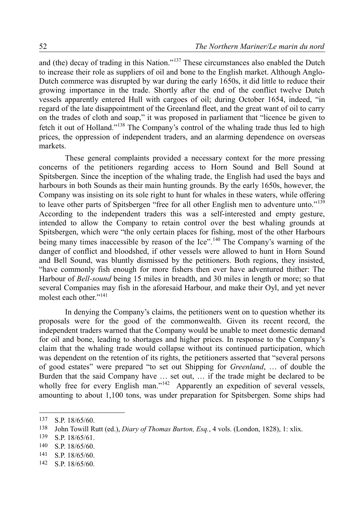and (the) decay of trading in this Nation."[137](#page-29-0) These circumstances also enabled the Dutch to increase their role as suppliers of oil and bone to the English market. Although Anglo-Dutch commerce was disrupted by war during the early 1650s, it did little to reduce their growing importance in the trade. Shortly after the end of the conflict twelve Dutch vessels apparently entered Hull with cargoes of oil; during October 1654, indeed, "in regard of the late disappointment of the Greenland fleet, and the great want of oil to carry on the trades of cloth and soap," it was proposed in parliament that "licence be given to fetch it out of Holland."[138](#page-29-1) The Company's control of the whaling trade thus led to high prices, the oppression of independent traders, and an alarming dependence on overseas markets.

These general complaints provided a necessary context for the more pressing concerns of the petitioners regarding access to Horn Sound and Bell Sound at Spitsbergen. Since the inception of the whaling trade, the English had used the bays and harbours in both Sounds as their main hunting grounds. By the early 1650s, however, the Company was insisting on its sole right to hunt for whales in these waters, while offering to leave other parts of Spitsbergen "free for all other English men to adventure unto."<sup>[139](#page-29-2)</sup> According to the independent traders this was a self-interested and empty gesture, intended to allow the Company to retain control over the best whaling grounds at Spitsbergen, which were "the only certain places for fishing, most of the other Harbours being many times inaccessible by reason of the Ice".<sup>[140](#page-29-3)</sup> The Company's warning of the danger of conflict and bloodshed, if other vessels were allowed to hunt in Horn Sound and Bell Sound, was bluntly dismissed by the petitioners. Both regions, they insisted, "have commonly fish enough for more fishers then ever have adventured thither: The Harbour of *Bell-sound* being 15 miles in breadth, and 30 miles in length or more; so that several Companies may fish in the aforesaid Harbour, and make their Oyl, and yet never molest each other."<sup>[141](#page-29-4)</sup>

In denying the Company's claims, the petitioners went on to question whether its proposals were for the good of the commonwealth. Given its recent record, the independent traders warned that the Company would be unable to meet domestic demand for oil and bone, leading to shortages and higher prices. In response to the Company's claim that the whaling trade would collapse without its continued participation, which was dependent on the retention of its rights, the petitioners asserted that "several persons of good estates" were prepared "to set out Shipping for *Greenland*, … of double the Burden that the said Company have … set out, … if the trade might be declared to be wholly free for every English man."<sup>[142](#page-29-5)</sup> Apparently an expedition of several vessels, amounting to about 1,100 tons, was under preparation for Spitsbergen. Some ships had

<span id="page-29-0"></span><sup>137</sup> S.P. 18/65/60.

<span id="page-29-1"></span><sup>138</sup> John Towill Rutt (ed.), *Diary of Thomas Burton, Esq.*, 4 vols. (London, 1828), 1: xlix.

<span id="page-29-2"></span><sup>139</sup> S.P. 18/65/61.

<span id="page-29-3"></span><sup>140</sup> S.P. 18/65/60.

<span id="page-29-4"></span><sup>141</sup> S.P. 18/65/60.

<span id="page-29-5"></span><sup>142</sup> S.P. 18/65/60.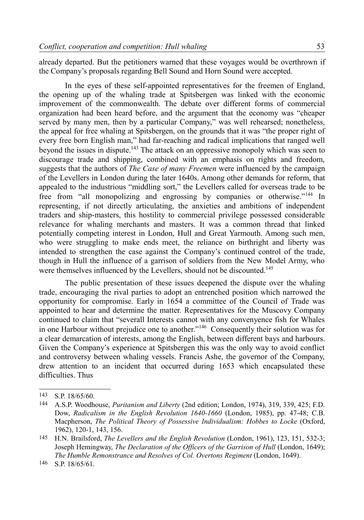already departed. But the petitioners warned that these voyages would be overthrown if the Company's proposals regarding Bell Sound and Horn Sound were accepted.

In the eyes of these self-appointed representatives for the freemen of England, the opening up of the whaling trade at Spitsbergen was linked with the economic improvement of the commonwealth. The debate over different forms of commercial organization had been heard before, and the argument that the economy was "cheaper served by many men, then by a particular Company," was well rehearsed; nonetheless, the appeal for free whaling at Spitsbergen, on the grounds that it was "the proper right of every free born English man," had far-reaching and radical implications that ranged well beyond the issues in dispute.<sup>[143](#page-30-0)</sup> The attack on an oppressive monopoly which was seen to discourage trade and shipping, combined with an emphasis on rights and freedom, suggests that the authors of *The Case of many Freemen* were influenced by the campaign of the Levellers in London during the later 1640s. Among other demands for reform, that appealed to the industrious "middling sort," the Levellers called for overseas trade to be free from "all monopolizing and engrossing by companies or otherwise."<sup>[144](#page-30-1)</sup> In representing, if not directly articulating, the anxieties and ambitions of independent traders and ship-masters, this hostility to commercial privilege possessed considerable relevance for whaling merchants and masters. It was a common thread that linked potentially competing interest in London, Hull and Great Yarmouth. Among such men, who were struggling to make ends meet, the reliance on birthright and liberty was intended to strengthen the case against the Company's continued control of the trade, though in Hull the influence of a garrison of soldiers from the New Model Army, who were themselves influenced by the Levellers, should not be discounted.<sup>[145](#page-30-2)</sup>

The public presentation of these issues deepened the dispute over the whaling trade, encouraging the rival parties to adopt an entrenched position which narrowed the opportunity for compromise. Early in 1654 a committee of the Council of Trade was appointed to hear and determine the matter. Representatives for the Muscovy Company continued to claim that "severall Interests cannot with any convenyence fish for Whales in one Harbour without prejudice one to another."[146](#page-30-3) Consequently their solution was for a clear demarcation of interests, among the English, between different bays and harbours. Given the Company's experience at Spitsbergen this was the only way to avoid conflict and controversy between whaling vessels. Francis Ashe, the governor of the Company, drew attention to an incident that occurred during 1653 which encapsulated these difficulties. Thus

<span id="page-30-0"></span><sup>143</sup> S.P. 18/65/60.

<span id="page-30-1"></span><sup>144</sup> A.S.P. Woodhouse, *Puritanism and Liberty* (2nd edition; London, 1974), 319, 339, 425; F.D. Dow, *Radicalism in the English Revolution 1640-1660* (London, 1985), pp. 47-48; C.B. Macpherson, *The Political Theory of Possessive Individualism: Hobbes to Locke* (Oxford, 1962), 120-1, 143, 156.

<span id="page-30-2"></span><sup>145</sup> H.N. Brailsford, *The Levellers and the English Revolution* (London, 1961), 123, 151, 532-3; Joseph Hemingway, *The Declaration of the Officers of the Garrison of Hull* (London, 1649); *The Humble Remonstrance and Resolves of Col. Overtons Regiment* (London, 1649).

<span id="page-30-3"></span><sup>146</sup> S.P. 18/65/61.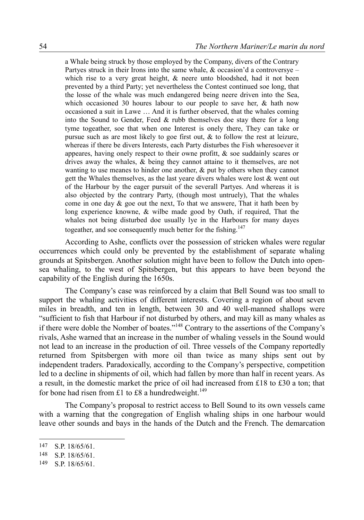a Whale being struck by those employed by the Company, divers of the Contrary Partyes struck in their Irons into the same whale,  $\&$  occasion'd a controversye – which rise to a very great height, & neere unto bloodshed, had it not been prevented by a third Party; yet nevertheless the Contest continued soe long, that the losse of the whale was much endangered being neere driven into the Sea, which occasioned 30 houres labour to our people to save her,  $\&$  hath now occasioned a suit in Lawe … And it is further observed, that the whales coming into the Sound to Gender, Feed & rubb themselves doe stay there for a long tyme togeather, soe that when one Interest is onely there, They can take or pursue such as are most likely to goe first out, & to follow the rest at leizure, whereas if there be divers Interests, each Party disturbes the Fish wheresoever it appeares, having onely respect to their owne profitt, & soe suddainly scares or drives away the whales, & being they cannot attaine to it themselves, are not wanting to use meanes to hinder one another,  $\&$  put by others when they cannot gett the Whales themselves, as the last yeare divers whales were lost  $\&$  went out of the Harbour by the eager pursuit of the severall Partyes. And whereas it is also objected by the contrary Party, (though most untruely), That the whales come in one day  $\&$  goe out the next. To that we answere, That it hath been by long experience knowne, & wilbe made good by Oath, if required, That the whales not being disturbed doe usually lye in the Harbours for many dayes togeather, and soe consequently much better for the fishing.<sup>[147](#page-31-0)</sup>

According to Ashe, conflicts over the possession of stricken whales were regular occurrences which could only be prevented by the establishment of separate whaling grounds at Spitsbergen. Another solution might have been to follow the Dutch into opensea whaling, to the west of Spitsbergen, but this appears to have been beyond the capability of the English during the 1650s.

The Company's case was reinforced by a claim that Bell Sound was too small to support the whaling activities of different interests. Covering a region of about seven miles in breadth, and ten in length, between 30 and 40 well-manned shallops were "sufficient to fish that Harbour if not disturbed by others, and may kill as many whales as if there were doble the Nomber of boates."[148](#page-31-1) Contrary to the assertions of the Company's rivals, Ashe warned that an increase in the number of whaling vessels in the Sound would not lead to an increase in the production of oil. Three vessels of the Company reportedly returned from Spitsbergen with more oil than twice as many ships sent out by independent traders. Paradoxically, according to the Company's perspective, competition led to a decline in shipments of oil, which had fallen by more than half in recent years. As a result, in the domestic market the price of oil had increased from £18 to £30 a ton; that for bone had risen from £1 to £8 a hundredweight.<sup>[149](#page-31-2)</sup>

The Company's proposal to restrict access to Bell Sound to its own vessels came with a warning that the congregation of English whaling ships in one harbour would leave other sounds and bays in the hands of the Dutch and the French. The demarcation

<span id="page-31-0"></span><sup>147</sup> S.P. 18/65/61.

<span id="page-31-1"></span><sup>148</sup> S.P. 18/65/61.

<span id="page-31-2"></span><sup>149</sup> S.P. 18/65/61.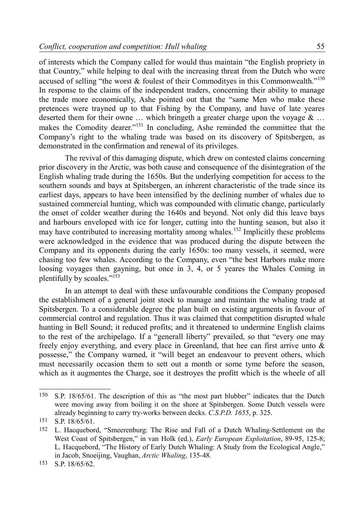of interests which the Company called for would thus maintain "the English propriety in that Country," while helping to deal with the increasing threat from the Dutch who were accused of selling "the worst  $\&$  foulest of their Commodityes in this Commonwealth."<sup>[150](#page-32-0)</sup> In response to the claims of the independent traders, concerning their ability to manage the trade more economically, Ashe pointed out that the "same Men who make these pretences were trayned up to that Fishing by the Company, and have of late yeares deserted them for their owne ... which bringeth a greater charge upon the voyage  $\&$  ... makes the Comodity dearer."<sup>[151](#page-32-1)</sup> In concluding, Ashe reminded the committee that the Company's right to the whaling trade was based on its discovery of Spitsbergen, as demonstrated in the confirmation and renewal of its privileges.

The revival of this damaging dispute, which drew on contested claims concerning prior discovery in the Arctic, was both cause and consequence of the disintegration of the English whaling trade during the 1650s. But the underlying competition for access to the southern sounds and bays at Spitsbergen, an inherent characteristic of the trade since its earliest days, appears to have been intensified by the declining number of whales due to sustained commercial hunting, which was compounded with climatic change, particularly the onset of colder weather during the 1640s and beyond. Not only did this leave bays and harbours enveloped with ice for longer, cutting into the hunting season, but also it may have contributed to increasing mortality among whales.<sup>[152](#page-32-2)</sup> Implicitly these problems were acknowledged in the evidence that was produced during the dispute between the Company and its opponents during the early 1650s: too many vessels, it seemed, were chasing too few whales. According to the Company, even "the best Harbors make more loosing voyages then gayning, but once in 3, 4, or 5 yeares the Whales Coming in plentifully by scoales."[153](#page-32-3)

In an attempt to deal with these unfavourable conditions the Company proposed the establishment of a general joint stock to manage and maintain the whaling trade at Spitsbergen. To a considerable degree the plan built on existing arguments in favour of commercial control and regulation. Thus it was claimed that competition disrupted whale hunting in Bell Sound; it reduced profits; and it threatened to undermine English claims to the rest of the archipelago. If a "generall liberty" prevailed, so that "every one may freely enjoy everything, and every place in Greenland, that hee can first arrive unto & possesse," the Company warned, it "will beget an endeavour to prevent others, which must necessarily occasion them to sett out a month or some tyme before the season, which as it augmentes the Charge, soe it destroyes the profitt which is the wheele of all

<span id="page-32-0"></span><sup>150</sup> S.P. 18/65/61. The description of this as "the most part blubber" indicates that the Dutch were moving away from boiling it on the shore at Spitsbergen. Some Dutch vessels were already beginning to carry try-works between decks. *C.S.P.D. 1655*, p. 325.

<span id="page-32-1"></span><sup>151</sup> S.P. 18/65/61.

<span id="page-32-2"></span><sup>152</sup> L. Hacquebord, "Smeerenburg: The Rise and Fall of a Dutch Whaling-Settlement on the West Coast of Spitsbergen," in van Holk (ed.), *Early European Exploitation*, 89-95, 125-8; L. Hacquebord, "The History of Early Dutch Whaling: A Study from the Ecological Angle," in Jacob, Snoeijing, Vaughan, *Arctic Whaling*, 135-48.

<span id="page-32-3"></span><sup>153</sup> S.P. 18/65/62.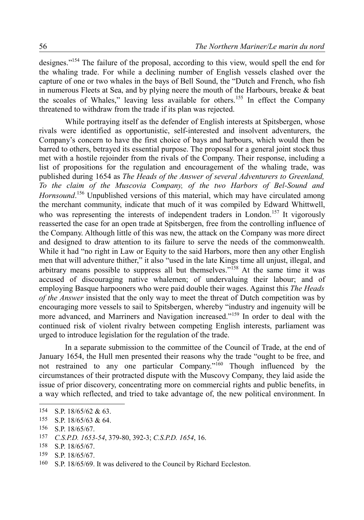designes."[154](#page-33-0) The failure of the proposal, according to this view, would spell the end for the whaling trade. For while a declining number of English vessels clashed over the capture of one or two whales in the bays of Bell Sound, the "Dutch and French, who fish in numerous Fleets at Sea, and by plying neere the mouth of the Harbours, breake & beat the scoales of Whales," leaving less available for others.<sup>[155](#page-33-1)</sup> In effect the Company threatened to withdraw from the trade if its plan was rejected.

While portraying itself as the defender of English interests at Spitsbergen, whose rivals were identified as opportunistic, self-interested and insolvent adventurers, the Company's concern to have the first choice of bays and harbours, which would then be barred to others, betrayed its essential purpose. The proposal for a general joint stock thus met with a hostile rejoinder from the rivals of the Company. Their response, including a list of propositions for the regulation and encouragement of the whaling trade, was published during 1654 as *The Heads of the Answer of several Adventurers to Greenland, To the claim of the Muscovia Company, of the two Harbors of Bel-Sound and* Hornsound.<sup>[156](#page-33-2)</sup> Unpublished versions of this material, which may have circulated among the merchant community, indicate that much of it was compiled by Edward Whittwell, who was representing the interests of independent traders in London.<sup>[157](#page-33-3)</sup> It vigorously reasserted the case for an open trade at Spitsbergen, free from the controlling influence of the Company. Although little of this was new, the attack on the Company was more direct and designed to draw attention to its failure to serve the needs of the commonwealth. While it had "no right in Law or Equity to the said Harbors, more then any other English men that will adventure thither," it also "used in the late Kings time all unjust, illegal, and arbitrary means possible to suppress all but themselves."[158](#page-33-4) At the same time it was accused of discouraging native whalemen; of undervaluing their labour; and of employing Basque harpooners who were paid double their wages. Against this *The Heads of the Answer* insisted that the only way to meet the threat of Dutch competition was by encouraging more vessels to sail to Spitsbergen, whereby "industry and ingenuity will be more advanced, and Marriners and Navigation increased."[159](#page-33-5) In order to deal with the continued risk of violent rivalry between competing English interests, parliament was urged to introduce legislation for the regulation of the trade.

In a separate submission to the committee of the Council of Trade, at the end of January 1654, the Hull men presented their reasons why the trade "ought to be free, and not restrained to any one particular Company."[160](#page-33-6) Though influenced by the circumstances of their protracted dispute with the Muscovy Company, they laid aside the issue of prior discovery, concentrating more on commercial rights and public benefits, in a way which reflected, and tried to take advantage of, the new political environment. In

<span id="page-33-0"></span><sup>154</sup> S.P. 18/65/62 & 63.

<span id="page-33-1"></span><sup>155</sup> S.P. 18/65/63 & 64.

<span id="page-33-2"></span><sup>156</sup> S.P. 18/65/67.

<span id="page-33-3"></span><sup>157</sup> *C.S.P.D. 1653-54*, 379-80, 392-3; *C.S.P.D. 1654*, 16.

<span id="page-33-4"></span><sup>158</sup> S.P. 18/65/67.

<span id="page-33-5"></span><sup>159</sup> S.P. 18/65/67.

<span id="page-33-6"></span><sup>160</sup> S.P. 18/65/69. It was delivered to the Council by Richard Eccleston.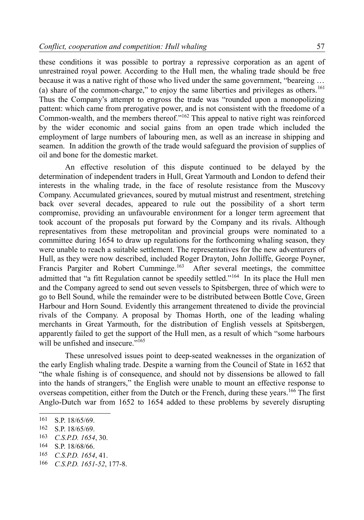these conditions it was possible to portray a repressive corporation as an agent of unrestrained royal power. According to the Hull men, the whaling trade should be free because it was a native right of those who lived under the same government, "beareing … (a) share of the common-charge," to enjoy the same liberties and privileges as others.<sup>[161](#page-34-0)</sup> Thus the Company's attempt to engross the trade was "rounded upon a monopolizing pattent: which came from prerogative power, and is not consistent with the freedome of a Common-wealth, and the members thereof."[162](#page-34-1) This appeal to native right was reinforced by the wider economic and social gains from an open trade which included the employment of large numbers of labouring men, as well as an increase in shipping and seamen. In addition the growth of the trade would safeguard the provision of supplies of oil and bone for the domestic market.

An effective resolution of this dispute continued to be delayed by the determination of independent traders in Hull, Great Yarmouth and London to defend their interests in the whaling trade, in the face of resolute resistance from the Muscovy Company. Accumulated grievances, soured by mutual mistrust and resentment, stretching back over several decades, appeared to rule out the possibility of a short term compromise, providing an unfavourable environment for a longer term agreement that took account of the proposals put forward by the Company and its rivals. Although representatives from these metropolitan and provincial groups were nominated to a committee during 1654 to draw up regulations for the forthcoming whaling season, they were unable to reach a suitable settlement. The representatives for the new adventurers of Hull, as they were now described, included Roger Drayton, John Jolliffe, George Poyner, Francis Pargiter and Robert Cumminge.<sup>[163](#page-34-2)</sup> After several meetings, the committee admitted that "a fitt Regulation cannot be speedily settled."[164](#page-34-3) In its place the Hull men and the Company agreed to send out seven vessels to Spitsbergen, three of which were to go to Bell Sound, while the remainder were to be distributed between Bottle Cove, Green Harbour and Horn Sound. Evidently this arrangement threatened to divide the provincial rivals of the Company. A proposal by Thomas Horth, one of the leading whaling merchants in Great Yarmouth, for the distribution of English vessels at Spitsbergen, apparently failed to get the support of the Hull men, as a result of which "some harbours will be unfished and insecure."<sup>[165](#page-34-4)</sup>

These unresolved issues point to deep-seated weaknesses in the organization of the early English whaling trade. Despite a warning from the Council of State in 1652 that "the whale fishing is of consequence, and should not by dissensions be allowed to fall into the hands of strangers," the English were unable to mount an effective response to overseas competition, either from the Dutch or the French, during these years.<sup>[166](#page-34-5)</sup> The first Anglo-Dutch war from 1652 to 1654 added to these problems by severely disrupting

<span id="page-34-0"></span><sup>161</sup> S.P. 18/65/69.

<span id="page-34-1"></span><sup>162</sup> S.P. 18/65/69.

<span id="page-34-2"></span><sup>163</sup> *C.S.P.D. 1654*, 30.

<span id="page-34-3"></span><sup>164</sup> S.P. 18/68/66.

<span id="page-34-4"></span><sup>165</sup> *C.S.P.D. 1654*, 41.

<span id="page-34-5"></span><sup>166</sup> *C.S.P.D. 1651-52*, 177-8.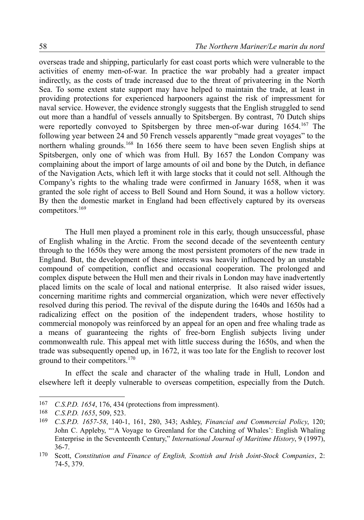overseas trade and shipping, particularly for east coast ports which were vulnerable to the activities of enemy men-of-war. In practice the war probably had a greater impact indirectly, as the costs of trade increased due to the threat of privateering in the North Sea. To some extent state support may have helped to maintain the trade, at least in providing protections for experienced harpooners against the risk of impressment for naval service. However, the evidence strongly suggests that the English struggled to send out more than a handful of vessels annually to Spitsbergen. By contrast, 70 Dutch ships were reportedly convoyed to Spitsbergen by three men-of-war during 1654.<sup>[167](#page-35-0)</sup> The following year between 24 and 50 French vessels apparently "made great voyages" to the northern whaling grounds.<sup>[168](#page-35-1)</sup> In 1656 there seem to have been seven English ships at Spitsbergen, only one of which was from Hull. By 1657 the London Company was complaining about the import of large amounts of oil and bone by the Dutch, in defiance of the Navigation Acts, which left it with large stocks that it could not sell. Although the Company's rights to the whaling trade were confirmed in January 1658, when it was granted the sole right of access to Bell Sound and Horn Sound, it was a hollow victory. By then the domestic market in England had been effectively captured by its overseas competitors.[169](#page-35-2)

The Hull men played a prominent role in this early, though unsuccessful, phase of English whaling in the Arctic. From the second decade of the seventeenth century through to the 1650s they were among the most persistent promoters of the new trade in England. But, the development of these interests was heavily influenced by an unstable compound of competition, conflict and occasional cooperation. The prolonged and complex dispute between the Hull men and their rivals in London may have inadvertently placed limits on the scale of local and national enterprise. It also raised wider issues, concerning maritime rights and commercial organization, which were never effectively resolved during this period. The revival of the dispute during the 1640s and 1650s had a radicalizing effect on the position of the independent traders, whose hostility to commercial monopoly was reinforced by an appeal for an open and free whaling trade as a means of guaranteeing the rights of free-born English subjects living under commonwealth rule. This appeal met with little success during the 1650s, and when the trade was subsequently opened up, in 1672, it was too late for the English to recover lost ground to their competitors. $170$ 

In effect the scale and character of the whaling trade in Hull, London and elsewhere left it deeply vulnerable to overseas competition, especially from the Dutch.

<span id="page-35-0"></span><sup>167</sup> *C.S.P.D. 1654*, 176, 434 (protections from impressment).

<span id="page-35-1"></span><sup>168</sup> *C.S.P.D. 1655*, 509, 523.

<span id="page-35-2"></span><sup>169</sup> *C.S.P.D. 1657-58*, 140-1, 161, 280, 343; Ashley, *Financial and Commercial Policy*, 120; John C. Appleby, "'A Voyage to Greenland for the Catching of Whales': English Whaling Enterprise in the Seventeenth Century," *International Journal of Maritime History*, 9 (1997), 36-7.

<span id="page-35-3"></span><sup>170</sup> Scott, *Constitution and Finance of English, Scottish and Irish Joint-Stock Companies*, 2: 74-5, 379.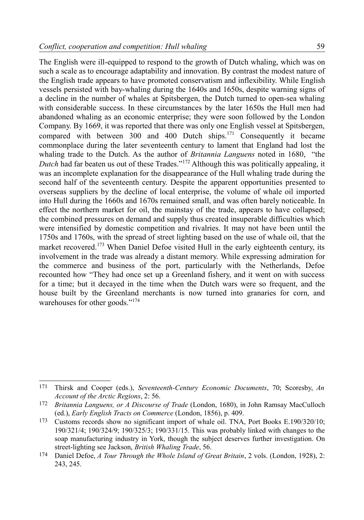59

The English were ill-equipped to respond to the growth of Dutch whaling, which was on such a scale as to encourage adaptability and innovation. By contrast the modest nature of the English trade appears to have promoted conservatism and inflexibility. While English vessels persisted with bay-whaling during the 1640s and 1650s, despite warning signs of a decline in the number of whales at Spitsbergen, the Dutch turned to open-sea whaling with considerable success. In these circumstances by the later 1650s the Hull men had abandoned whaling as an economic enterprise; they were soon followed by the London Company. By 1669, it was reported that there was only one English vessel at Spitsbergen, compared with between 300 and 400 Dutch ships.[171](#page-36-0) Consequently it became commonplace during the later seventeenth century to lament that England had lost the whaling trade to the Dutch. As the author of *Britannia Languens* noted in 1680, "the *Dutch* had far beaten us out of these Trades."<sup>[172](#page-36-1)</sup> Although this was politically appealing, it was an incomplete explanation for the disappearance of the Hull whaling trade during the second half of the seventeenth century. Despite the apparent opportunities presented to overseas suppliers by the decline of local enterprise, the volume of whale oil imported into Hull during the 1660s and 1670s remained small, and was often barely noticeable. In effect the northern market for oil, the mainstay of the trade, appears to have collapsed; the combined pressures on demand and supply thus created insuperable difficulties which were intensified by domestic competition and rivalries. It may not have been until the 1750s and 1760s, with the spread of street lighting based on the use of whale oil, that the market recovered.<sup>[173](#page-36-2)</sup> When Daniel Defoe visited Hull in the early eighteenth century, its involvement in the trade was already a distant memory. While expressing admiration for the commerce and business of the port, particularly with the Netherlands, Defoe recounted how "They had once set up a Greenland fishery, and it went on with success for a time; but it decayed in the time when the Dutch wars were so frequent, and the house built by the Greenland merchants is now turned into granaries for corn, and warehouses for other goods."<sup>[174](#page-36-3)</sup>

<span id="page-36-0"></span><sup>171</sup> Thirsk and Cooper (eds.), *Seventeenth-Century Economic Documents*, 70; Scoresby, *An Account of the Arctic Regions*, 2: 56.

<span id="page-36-1"></span><sup>172</sup> *Britannia Languens, or A Discourse of Trade* (London, 1680), in John Ramsay MacCulloch (ed.), *Early English Tracts on Commerce* (London, 1856), p. 409.

<span id="page-36-2"></span><sup>173</sup> Customs records show no significant import of whale oil. TNA, Port Books E.190/320/10; 190/321/4; 190/324/9; 190/325/3; 190/331/15. This was probably linked with changes to the soap manufacturing industry in York, though the subject deserves further investigation. On street-lighting see Jackson, *British Whaling Trade*, 56.

<span id="page-36-3"></span><sup>174</sup> Daniel Defoe, *A Tour Through the Whole Island of Great Britain*, 2 vols. (London, 1928), 2: 243, 245.